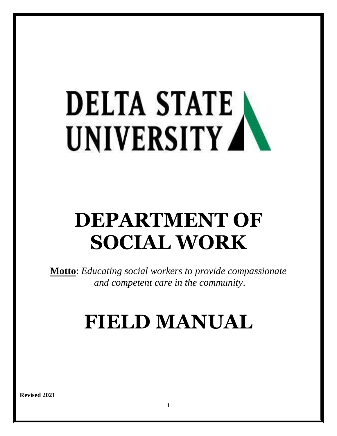# **DELTA STATE** UNIVERSITY AV

# **DEPARTMENT OF SOCIAL WORK**

**Motto**: *Educating social workers to provide compassionate and competent care in the community*.

# **FIELD MANUAL**

**Revised 2021**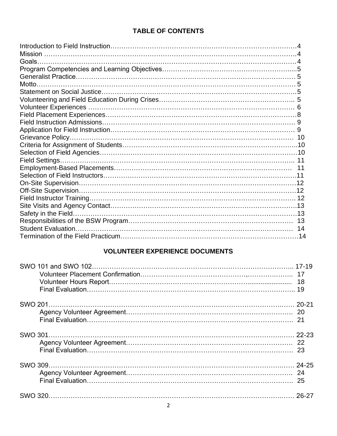# **TABLE OF CONTENTS**

# **VOLUNTEER EXPERIENCE DOCUMENTS**

| -25 |
|-----|
|     |
|     |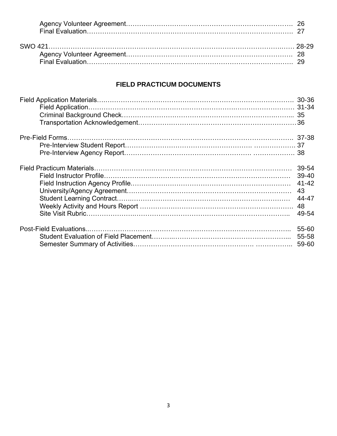# **FIELD PRACTICUM DOCUMENTS**

| 39-54<br>$39-40$<br>$41 - 42$<br>43<br>44-47<br>48<br>49-54 |
|-------------------------------------------------------------|
| 55-60<br>55-58                                              |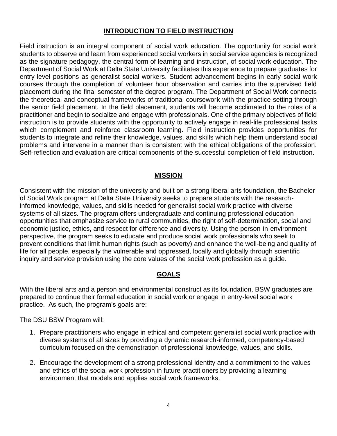# **INTRODUCTION TO FIELD INSTRUCTION**

Field instruction is an integral component of social work education. The opportunity for social work students to observe and learn from experienced social workers in social service agencies is recognized as the signature pedagogy, the central form of learning and instruction, of social work education. The Department of Social Work at Delta State University facilitates this experience to prepare graduates for entry-level positions as generalist social workers. Student advancement begins in early social work courses through the completion of volunteer hour observation and carries into the supervised field placement during the final semester of the degree program. The Department of Social Work connects the theoretical and conceptual frameworks of traditional coursework with the practice setting through the senior field placement. In the field placement, students will become acclimated to the roles of a practitioner and begin to socialize and engage with professionals. One of the primary objectives of field instruction is to provide students with the opportunity to actively engage in real-life professional tasks which complement and reinforce classroom learning. Field instruction provides opportunities for students to integrate and refine their knowledge, values, and skills which help them understand social problems and intervene in a manner than is consistent with the ethical obligations of the profession. Self-reflection and evaluation are critical components of the successful completion of field instruction.

#### **MISSION**

Consistent with the mission of the university and built on a strong liberal arts foundation, the Bachelor of Social Work program at Delta State University seeks to prepare students with the researchinformed knowledge, values, and skills needed for generalist social work practice with diverse systems of all sizes. The program offers undergraduate and continuing professional education opportunities that emphasize service to rural communities, the right of self-determination, social and economic justice, ethics, and respect for difference and diversity. Using the person-in-environment perspective, the program seeks to educate and produce social work professionals who seek to prevent conditions that limit human rights (such as poverty) and enhance the well-being and quality of life for all people, especially the vulnerable and oppressed, locally and globally through scientific inquiry and service provision using the core values of the social work profession as a guide.

#### **GOALS**

With the liberal arts and a person and environmental construct as its foundation, BSW graduates are prepared to continue their formal education in social work or engage in entry-level social work practice. As such, the program's goals are:

The DSU BSW Program will:

- 1. Prepare practitioners who engage in ethical and competent generalist social work practice with diverse systems of all sizes by providing a dynamic research-informed, competency-based curriculum focused on the demonstration of professional knowledge, values, and skills.
- 2. Encourage the development of a strong professional identity and a commitment to the values and ethics of the social work profession in future practitioners by providing a learning environment that models and applies social work frameworks.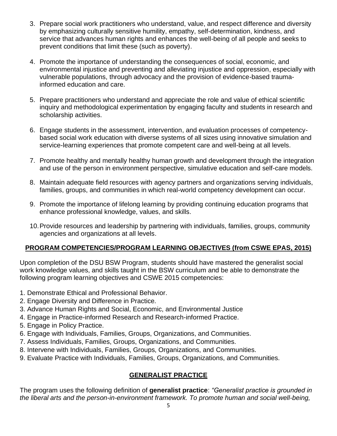- 3. Prepare social work practitioners who understand, value, and respect difference and diversity by emphasizing culturally sensitive humility, empathy, self-determination, kindness, and service that advances human rights and enhances the well-being of all people and seeks to prevent conditions that limit these (such as poverty).
- 4. Promote the importance of understanding the consequences of social, economic, and environmental injustice and preventing and alleviating injustice and oppression, especially with vulnerable populations, through advocacy and the provision of evidence-based traumainformed education and care.
- 5. Prepare practitioners who understand and appreciate the role and value of ethical scientific inquiry and methodological experimentation by engaging faculty and students in research and scholarship activities.
- 6. Engage students in the assessment, intervention, and evaluation processes of competencybased social work education with diverse systems of all sizes using innovative simulation and service-learning experiences that promote competent care and well-being at all levels.
- 7. Promote healthy and mentally healthy human growth and development through the integration and use of the person in environment perspective, simulative education and self-care models.
- 8. Maintain adequate field resources with agency partners and organizations serving individuals, families, groups, and communities in which real-world competency development can occur.
- 9. Promote the importance of lifelong learning by providing continuing education programs that enhance professional knowledge, values, and skills.
- 10.Provide resources and leadership by partnering with individuals, families, groups, community agencies and organizations at all levels.

# **PROGRAM COMPETENCIES/PROGRAM LEARNING OBJECTIVES (from CSWE EPAS, 2015)**

Upon completion of the DSU BSW Program, students should have mastered the generalist social work knowledge values, and skills taught in the BSW curriculum and be able to demonstrate the following program learning objectives and CSWE 2015 competencies:

- 1. Demonstrate Ethical and Professional Behavior.
- 2. Engage Diversity and Difference in Practice.
- 3. Advance Human Rights and Social, Economic, and Environmental Justice
- 4. Engage in Practice-informed Research and Research-informed Practice.
- 5. Engage in Policy Practice.
- 6. Engage with Individuals, Families, Groups, Organizations, and Communities.
- 7. Assess Individuals, Families, Groups, Organizations, and Communities.
- 8. Intervene with Individuals, Families, Groups, Organizations, and Communities.
- 9. Evaluate Practice with Individuals, Families, Groups, Organizations, and Communities.

# **GENERALIST PRACTICE**

The program uses the following definition of **generalist practice**: *"Generalist practice is grounded in the liberal arts and the person-in-environment framework. To promote human and social well-being,*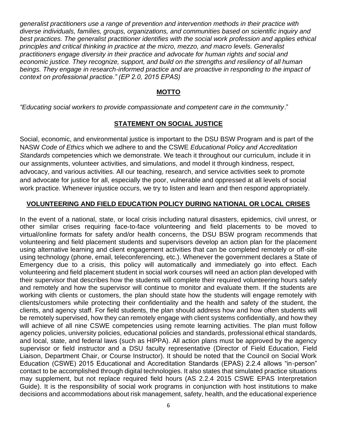*generalist practitioners use a range of prevention and intervention methods in their practice with diverse individuals, families, groups, organizations, and communities based on scientific inquiry and best practices. The generalist practitioner identifies with the social work profession and applies ethical principles and critical thinking in practice at the micro, mezzo, and macro levels. Generalist practitioners engage diversity in their practice and advocate for human rights and social and economic justice. They recognize, support, and build on the strengths and resiliency of all human*  beings. They engage in research-informed practice and are proactive in responding to the impact of *context on professional practice." (EP 2.0, 2015 EPAS)*

## **MOTTO**

*"Educating social workers to provide compassionate and competent care in the community*."

# **STATEMENT ON SOCIAL JUSTICE**

Social, economic, and environmental justice is important to the DSU BSW Program and is part of the NASW *Code of Ethics* which we adhere to and the CSWE *Educational Policy and Accreditation Standards* competencies which we demonstrate. We teach it throughout our curriculum, include it in our assignments, volunteer activities, and simulations, and model it through kindness, respect, advocacy, and various activities. All our teaching, research, and service activities seek to promote and advocate for justice for all, especially the poor, vulnerable and oppressed at all levels of social work practice. Whenever injustice occurs, we try to listen and learn and then respond appropriately.

# **VOLUNTEERING AND FIELD EDUCATION POLICY DURING NATIONAL OR LOCAL CRISES**

In the event of a national, state, or local crisis including natural disasters, epidemics, civil unrest, or other similar crises requiring face-to-face volunteering and field placements to be moved to virtual/online formats for safety and/or health concerns, the DSU BSW program recommends that volunteering and field placement students and supervisors develop an action plan for the placement using alternative learning and client engagement activities that can be completed remotely or off-site using technology (phone, email, teleconferencing, etc.). Whenever the government declares a State of Emergency due to a crisis, this policy will automatically and immediately go into effect. Each volunteering and field placement student in social work courses will need an action plan developed with their supervisor that describes how the students will complete their required volunteering hours safely and remotely and how the supervisor will continue to monitor and evaluate them. If the students are working with clients or customers, the plan should state how the students will engage remotely with clients/customers while protecting their confidentiality and the health and safety of the student, the clients, and agency staff. For field students, the plan should address how and how often students will be remotely supervised, how they can remotely engage with client systems confidentially, and how they will achieve of all nine CSWE competencies using remote learning activities. The plan must follow agency policies, university policies, educational policies and standards, professional ethical standards, and local, state, and federal laws (such as HIPPA). All action plans must be approved by the agency supervisor or field instructor and a DSU faculty representative (Director of Field Education, Field Liaison, Department Chair, or Course Instructor). It should be noted that the Council on Social Work Education (CSWE) 2015 Educational and Accreditation Standards (EPAS) 2.2.4 allows "in-person" contact to be accomplished through digital technologies. It also states that simulated practice situations may supplement, but not replace required field hours (AS 2.2.4 2015 CSWE EPAS Interpretation Guide). It is the responsibility of social work programs in conjunction with host institutions to make decisions and accommodations about risk management, safety, health, and the educational experience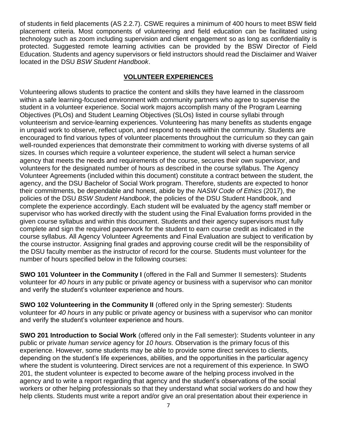of students in field placements (AS 2.2.7). CSWE requires a minimum of 400 hours to meet BSW field placement criteria. Most components of volunteering and field education can be facilitated using technology such as zoom including supervision and client engagement so as long as confidentiality is protected. Suggested remote learning activities can be provided by the BSW Director of Field Education. Students and agency supervisors or field instructors should read the Disclaimer and Waiver located in the DSU *BSW Student Handbook*.

# **VOLUNTEER EXPERIENCES**

Volunteering allows students to practice the content and skills they have learned in the classroom within a safe learning-focused environment with community partners who agree to supervise the student in a volunteer experience. Social work majors accomplish many of the Program Learning Objectives (PLOs) and Student Learning Objectives (SLOs) listed in course syllabi through volunteerism and service-learning experiences. Volunteering has many benefits as students engage in unpaid work to observe, reflect upon, and respond to needs within the community. Students are encouraged to find various types of volunteer placements throughout the curriculum so they can gain well-rounded experiences that demonstrate their commitment to working with diverse systems of all sizes. In courses which require a volunteer experience, the student will select a human service agency that meets the needs and requirements of the course, secures their own supervisor, and volunteers for the designated number of hours as described in the course syllabus. The Agency Volunteer Agreements (included within this document) constitute a contract between the student, the agency, and the DSU Bachelor of Social Work program. Therefore, students are expected to honor their commitments, be dependable and honest, abide by the *NASW Code of Ethics* (2017), the policies of the DSU *BSW Student Handbook*, the policies of the DSU Student Handbook, and complete the experience accordingly. Each student will be evaluated by the agency staff member or supervisor who has worked directly with the student using the Final Evaluation forms provided in the given course syllabus and within this document. Students and their agency supervisors must fully complete and sign the required paperwork for the student to earn course credit as indicated in the course syllabus. All Agency Volunteer Agreements and Final Evaluation are subject to verification by the course instructor. Assigning final grades and approving course credit will be the responsibility of the DSU faculty member as the instructor of record for the course. Students must volunteer for the number of hours specified below in the following courses:

**SWO 101 Volunteer in the Community I** (offered in the Fall and Summer II semesters): Students volunteer for *40 hours* in any public or private agency or business with a supervisor who can monitor and verify the student's volunteer experience and hours.

**SWO 102 Volunteering in the Community II** (offered only in the Spring semester): Students volunteer for *40 hours* in any public or private agency or business with a supervisor who can monitor and verify the student's volunteer experience and hours.

**SWO 201 Introduction to Social Work** (offered only in the Fall semester): Students volunteer in any public or private *human service* agency for *10 hours.* Observation is the primary focus of this experience. However, some students may be able to provide some direct services to clients, depending on the student's life experiences, abilities, and the opportunities in the particular agency where the student is volunteering. Direct services are not a requirement of this experience. In SWO 201, the student volunteer is expected to become aware of the helping process involved in the agency and to write a report regarding that agency and the student's observations of the social workers or other helping professionals so that they understand what social workers do and how they help clients. Students must write a report and/or give an oral presentation about their experience in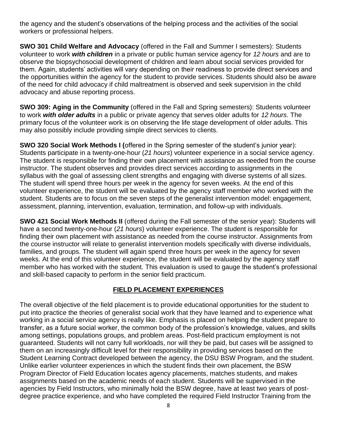the agency and the student's observations of the helping process and the activities of the social workers or professional helpers.

**SWO 301 Child Welfare and Advocacy** (offered in the Fall and Summer I semesters): Students volunteer to work *with children* in a private or public human service agency for *12 hours* and are to observe the biopsychosocial development of children and learn about social services provided for them. Again, students' activities will vary depending on their readiness to provide direct services and the opportunities within the agency for the student to provide services. Students should also be aware of the need for child advocacy if child maltreatment is observed and seek supervision in the child advocacy and abuse reporting process.

**SWO 309: Aging in the Community** (offered in the Fall and Spring semesters): Students volunteer to work *with older adults* in a public or private agency that serves older adults for *12 hours*. The primary focus of the volunteer work is on observing the life stage development of older adults. This may also possibly include providing simple direct services to clients.

**SWO 320 Social Work Methods I (**offered in the Spring semester of the student's junior year): Students participate in a twenty-one-hour (*21 hours*) volunteer experience in a social service agency. The student is responsible for finding their own placement with assistance as needed from the course instructor. The student observes and provides direct services according to assignments in the syllabus with the goal of assessing client strengths and engaging with diverse systems of all sizes. The student will spend three hours per week in the agency for seven weeks. At the end of this volunteer experience, the student will be evaluated by the agency staff member who worked with the student. Students are to focus on the seven steps of the generalist intervention model: engagement, assessment, planning, intervention, evaluation, termination, and follow-up with individuals.

**SWO 421 Social Work Methods II** (offered during the Fall semester of the senior year): Students will have a second twenty-one-hour (*21 hours*) volunteer experience. The student is responsible for finding their own placement with assistance as needed from the course instructor. Assignments from the course instructor will relate to generalist intervention models specifically with diverse individuals, families, and groups. The student will again spend three hours per week in the agency for seven weeks. At the end of this volunteer experience, the student will be evaluated by the agency staff member who has worked with the student. This evaluation is used to gauge the student's professional and skill-based capacity to perform in the senior field practicum.

# **FIELD PLACEMENT EXPERIENCES**

The overall objective of the field placement is to provide educational opportunities for the student to put into practice the theories of generalist social work that they have learned and to experience what working in a social service agency is really like. Emphasis is placed on helping the student prepare to transfer, as a future social worker, the common body of the profession's knowledge, values, and skills among settings, populations groups, and problem areas. Post-field practicum employment is not guaranteed. Students will not carry full workloads, nor will they be paid, but cases will be assigned to them on an increasingly difficult level for their responsibility in providing services based on the Student Learning Contract developed between the agency, the DSU BSW Program, and the student. Unlike earlier volunteer experiences in which the student finds their own placement, the BSW Program Director of Field Education locates agency placements, matches students, and makes assignments based on the academic needs of each student. Students will be supervised in the agencies by Field Instructors, who minimally hold the BSW degree, have at least two years of postdegree practice experience, and who have completed the required Field Instructor Training from the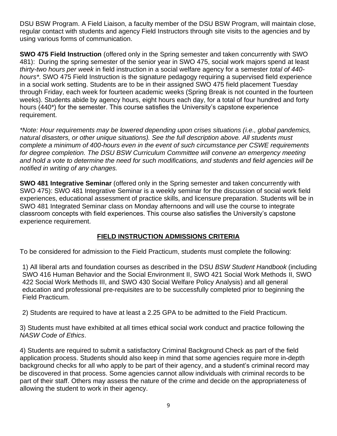DSU BSW Program. A Field Liaison, a faculty member of the DSU BSW Program, will maintain close, regular contact with students and agency Field Instructors through site visits to the agencies and by using various forms of communication.

**SWO 475 Field Instruction** (offered only in the Spring semester and taken concurrently with SWO 481): During the spring semester of the senior year in SWO 475, social work majors spend at least *thirty-two hours per week* in field instruction in a social welfare agency for a semester *total of 440 hours\**. SWO 475 Field Instruction is the signature pedagogy requiring a supervised field experience in a social work setting. Students are to be in their assigned SWO 475 field placement Tuesday through Friday, each week for fourteen academic weeks (Spring Break is not counted in the fourteen weeks). Students abide by agency hours, eight hours each day, for a total of four hundred and forty hours (440\*) for the semester. This course satisfies the University's capstone experience requirement.

*\*Note: Hour requirements may be lowered depending upon crises situations (i.e., global pandemics, natural disasters, or other unique situations). See the full description above. All students must complete a minimum of 400-hours even in the event of such circumstance per CSWE requirements*  for degree completion. The DSU BSW Curriculum Committee will convene an emergency meeting *and hold a vote to determine the need for such modifications, and students and field agencies will be notified in writing of any changes.* 

**SWO 481 Integrative Seminar** (offered only in the Spring semester and taken concurrently with SWO 475): SWO 481 Integrative Seminar is a weekly seminar for the discussion of social work field experiences, educational assessment of practice skills, and licensure preparation. Students will be in SWO 481 Integrated Seminar class on Monday afternoons and will use the course to integrate classroom concepts with field experiences. This course also satisfies the University's capstone experience requirement.

# **FIELD INSTRUCTION ADMISSIONS CRITERIA**

To be considered for admission to the Field Practicum, students must complete the following:

1) All liberal arts and foundation courses as described in the DSU *BSW Student Handbook* (including SWO 416 Human Behavior and the Social Environment II, SWO 421 Social Work Methods II, SWO 422 Social Work Methods III, and SWO 430 Social Welfare Policy Analysis) and all general education and professional pre-requisites are to be successfully completed prior to beginning the Field Practicum.

2) Students are required to have at least a 2.25 GPA to be admitted to the Field Practicum.

3) Students must have exhibited at all times ethical social work conduct and practice following the *NASW Code of Ethics*.

4) Students are required to submit a satisfactory Criminal Background Check as part of the field application process. Students should also keep in mind that some agencies require more in-depth background checks for all who apply to be part of their agency, and a student's criminal record may be discovered in that process. Some agencies cannot allow individuals with criminal records to be part of their staff. Others may assess the nature of the crime and decide on the appropriateness of allowing the student to work in their agency.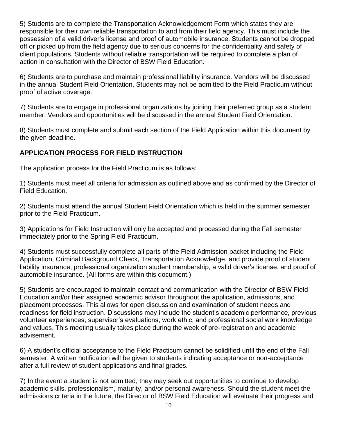5) Students are to complete the Transportation Acknowledgement Form which states they are responsible for their own reliable transportation to and from their field agency. This must include the possession of a valid driver's license and proof of automobile insurance. Students cannot be dropped off or picked up from the field agency due to serious concerns for the confidentiality and safety of client populations. Students without reliable transportation will be required to complete a plan of action in consultation with the Director of BSW Field Education.

6) Students are to purchase and maintain professional liability insurance. Vendors will be discussed in the annual Student Field Orientation. Students may not be admitted to the Field Practicum without proof of active coverage.

7) Students are to engage in professional organizations by joining their preferred group as a student member. Vendors and opportunities will be discussed in the annual Student Field Orientation.

8) Students must complete and submit each section of the Field Application within this document by the given deadline.

# **APPLICATION PROCESS FOR FIELD INSTRUCTION**

The application process for the Field Practicum is as follows:

1) Students must meet all criteria for admission as outlined above and as confirmed by the Director of Field Education.

2) Students must attend the annual Student Field Orientation which is held in the summer semester prior to the Field Practicum.

3) Applications for Field Instruction will only be accepted and processed during the Fall semester immediately prior to the Spring Field Practicum.

4) Students must successfully complete all parts of the Field Admission packet including the Field Application, Criminal Background Check, Transportation Acknowledge, and provide proof of student liability insurance, professional organization student membership, a valid driver's license, and proof of automobile insurance. (All forms are within this document.)

5) Students are encouraged to maintain contact and communication with the Director of BSW Field Education and/or their assigned academic advisor throughout the application, admissions, and placement processes. This allows for open discussion and examination of student needs and readiness for field instruction. Discussions may include the student's academic performance, previous volunteer experiences, supervisor's evaluations, work ethic, and professional social work knowledge and values. This meeting usually takes place during the week of pre-registration and academic advisement.

6) A student's official acceptance to the Field Practicum cannot be solidified until the end of the Fall semester. A written notification will be given to students indicating acceptance or non-acceptance after a full review of student applications and final grades.

7) In the event a student is not admitted, they may seek out opportunities to continue to develop academic skills, professionalism, maturity, and/or personal awareness. Should the student meet the admissions criteria in the future, the Director of BSW Field Education will evaluate their progress and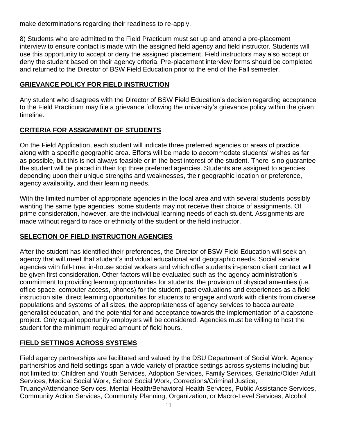make determinations regarding their readiness to re-apply.

8) Students who are admitted to the Field Practicum must set up and attend a pre-placement interview to ensure contact is made with the assigned field agency and field instructor. Students will use this opportunity to accept or deny the assigned placement. Field instructors may also accept or deny the student based on their agency criteria. Pre-placement interview forms should be completed and returned to the Director of BSW Field Education prior to the end of the Fall semester.

# **GRIEVANCE POLICY FOR FIELD INSTRUCTION**

Any student who disagrees with the Director of BSW Field Education's decision regarding acceptance to the Field Practicum may file a grievance following the university's grievance policy within the given timeline.

## **CRITERIA FOR ASSIGNMENT OF STUDENTS**

On the Field Application, each student will indicate three preferred agencies or areas of practice along with a specific geographic area. Efforts will be made to accommodate students' wishes as far as possible, but this is not always feasible or in the best interest of the student. There is no guarantee the student will be placed in their top three preferred agencies. Students are assigned to agencies depending upon their unique strengths and weaknesses, their geographic location or preference, agency availability, and their learning needs.

With the limited number of appropriate agencies in the local area and with several students possibly wanting the same type agencies, some students may not receive their choice of assignments. Of prime consideration, however, are the individual learning needs of each student. Assignments are made without regard to race or ethnicity of the student or the field instructor.

# **SELECTION OF FIELD INSTRUCTION AGENCIES**

After the student has identified their preferences, the Director of BSW Field Education will seek an agency that will meet that student's individual educational and geographic needs. Social service agencies with full-time, in-house social workers and which offer students in-person client contact will be given first consideration. Other factors will be evaluated such as the agency administration's commitment to providing learning opportunities for students, the provision of physical amenities (i.e. office space, computer access, phones) for the student, past evaluations and experiences as a field instruction site, direct learning opportunities for students to engage and work with clients from diverse populations and systems of all sizes, the appropriateness of agency services to baccalaureate generalist education, and the potential for and acceptance towards the implementation of a capstone project. Only equal opportunity employers will be considered. Agencies must be willing to host the student for the minimum required amount of field hours.

# **FIELD SETTINGS ACROSS SYSTEMS**

Field agency partnerships are facilitated and valued by the DSU Department of Social Work. Agency partnerships and field settings span a wide variety of practice settings across systems including but not limited to: Children and Youth Services, Adoption Services, Family Services, Geriatric/Older Adult Services, Medical Social Work, School Social Work, Corrections/Criminal Justice, Truancy/Attendance Services, Mental Health/Behavioral Health Services, Public Assistance Services, Community Action Services, Community Planning, Organization, or Macro-Level Services, Alcohol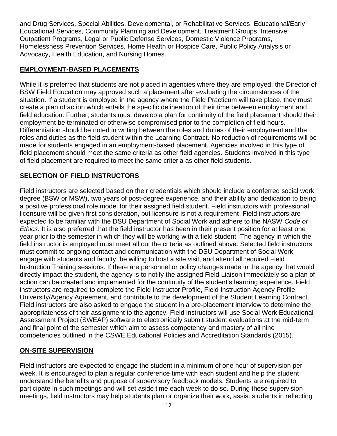and Drug Services, Special Abilities, Developmental, or Rehabilitative Services, Educational/Early Educational Services, Community Planning and Development, Treatment Groups, Intensive Outpatient Programs, Legal or Public Defense Services, Domestic Violence Programs, Homelessness Prevention Services, Home Health or Hospice Care, Public Policy Analysis or Advocacy, Health Education, and Nursing Homes.

# **EMPLOYMENT-BASED PLACEMENTS**

While it is preferred that students are not placed in agencies where they are employed, the Director of BSW Field Education may approved such a placement after evaluating the circumstances of the situation. If a student is employed in the agency where the Field Practicum will take place, they must create a plan of action which entails the specific delineation of their time between employment and field education. Further, students must develop a plan for continuity of the field placement should their employment be terminated or otherwise compromised prior to the completion of field hours. Differentiation should be noted in writing between the roles and duties of their employment and the roles and duties as the field student within the Learning Contract. No reduction of requirements will be made for students engaged in an employment-based placement. Agencies involved in this type of field placement should meet the same criteria as other field agencies. Students involved in this type of field placement are required to meet the same criteria as other field students.

# **SELECTION OF FIELD INSTRUCTORS**

Field instructors are selected based on their credentials which should include a conferred social work degree (BSW or MSW), two years of post-degree experience, and their ability and dedication to being a positive professional role model for their assigned field student. Field instructors with professional licensure will be given first consideration, but licensure is not a requirement. Field instructors are expected to be familiar with the DSU Department of Social Work and adhere to the NASW *Code of Ethics*. It is also preferred that the field instructor has been in their present position for at least one year prior to the semester in which they will be working with a field student. The agency in which the field instructor is employed must meet all out the criteria as outlined above. Selected field instructors must commit to ongoing contact and communication with the DSU Department of Social Work, engage with students and faculty, be willing to host a site visit, and attend all required Field Instruction Training sessions. If there are personnel or policy changes made in the agency that would directly impact the student, the agency is to notify the assigned Field Liaison immediately so a plan of action can be created and implemented for the continuity of the student's learning experience. Field instructors are required to complete the Field Instructor Profile, Field Instruction Agency Profile, University/Agency Agreement, and contribute to the development of the Student Learning Contract. Field instructors are also asked to engage the student in a pre-placement interview to determine the appropriateness of their assignment to the agency. Field instructors will use Social Work Educational Assessment Project (SWEAP) software to electronically submit student evaluations at the mid-term and final point of the semester which aim to assess competency and mastery of all nine competencies outlined in the CSWE Educational Policies and Accreditation Standards (2015).

# **ON-SITE SUPERVISION**

Field instructors are expected to engage the student in a minimum of one hour of supervision per week. It is encouraged to plan a regular conference time with each student and help the student understand the benefits and purpose of supervisory feedback models. Students are required to participate in such meetings and will set aside time each week to do so. During these supervision meetings, field instructors may help students plan or organize their work, assist students in reflecting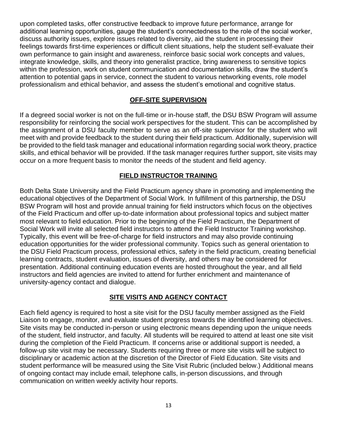upon completed tasks, offer constructive feedback to improve future performance, arrange for additional learning opportunities, gauge the student's connectedness to the role of the social worker, discuss authority issues, explore issues related to diversity, aid the student in processing their feelings towards first-time experiences or difficult client situations, help the student self-evaluate their own performance to gain insight and awareness, reinforce basic social work concepts and values, integrate knowledge, skills, and theory into generalist practice, bring awareness to sensitive topics within the profession, work on student communication and documentation skills, draw the student's attention to potential gaps in service, connect the student to various networking events, role model professionalism and ethical behavior, and assess the student's emotional and cognitive status.

### **OFF-SITE SUPERVISION**

If a degreed social worker is not on the full-time or in-house staff, the DSU BSW Program will assume responsibility for reinforcing the social work perspectives for the student. This can be accomplished by the assignment of a DSU faculty member to serve as an off-site supervisor for the student who will meet with and provide feedback to the student during their field practicum. Additionally, supervision will be provided to the field task manager and educational information regarding social work theory, practice skills, and ethical behavior will be provided. If the task manager requires further support, site visits may occur on a more frequent basis to monitor the needs of the student and field agency.

## **FIELD INSTRUCTOR TRAINING**

Both Delta State University and the Field Practicum agency share in promoting and implementing the educational objectives of the Department of Social Work. In fulfillment of this partnership, the DSU BSW Program will host and provide annual training for field instructors which focus on the objectives of the Field Practicum and offer up-to-date information about professional topics and subject matter most relevant to field education. Prior to the beginning of the Field Practicum, the Department of Social Work will invite all selected field instructors to attend the Field Instructor Training workshop. Typically, this event will be free-of-charge for field instructors and may also provide continuing education opportunities for the wider professional community. Topics such as general orientation to the DSU Field Practicum process, professional ethics, safety in the field practicum, creating beneficial learning contracts, student evaluation, issues of diversity, and others may be considered for presentation. Additional continuing education events are hosted throughout the year, and all field instructors and field agencies are invited to attend for further enrichment and maintenance of university-agency contact and dialogue.

# **SITE VISITS AND AGENCY CONTACT**

Each field agency is required to host a site visit for the DSU faculty member assigned as the Field Liaison to engage, monitor, and evaluate student progress towards the identified learning objectives. Site visits may be conducted in-person or using electronic means depending upon the unique needs of the student, field instructor, and faculty. All students will be required to attend at least one site visit during the completion of the Field Practicum. If concerns arise or additional support is needed, a follow-up site visit may be necessary. Students requiring three or more site visits will be subject to disciplinary or academic action at the discretion of the Director of Field Education. Site visits and student performance will be measured using the Site Visit Rubric (included below.) Additional means of ongoing contact may include email, telephone calls, in-person discussions, and through communication on written weekly activity hour reports.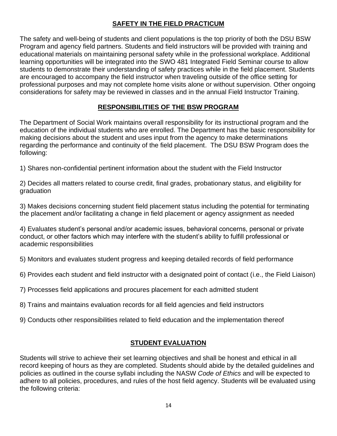# **SAFETY IN THE FIELD PRACTICUM**

The safety and well-being of students and client populations is the top priority of both the DSU BSW Program and agency field partners. Students and field instructors will be provided with training and educational materials on maintaining personal safety while in the professional workplace. Additional learning opportunities will be integrated into the SWO 481 Integrated Field Seminar course to allow students to demonstrate their understanding of safety practices while in the field placement. Students are encouraged to accompany the field instructor when traveling outside of the office setting for professional purposes and may not complete home visits alone or without supervision. Other ongoing considerations for safety may be reviewed in classes and in the annual Field Instructor Training.

# **RESPONSIBILITIES OF THE BSW PROGRAM**

The Department of Social Work maintains overall responsibility for its instructional program and the education of the individual students who are enrolled. The Department has the basic responsibility for making decisions about the student and uses input from the agency to make determinations regarding the performance and continuity of the field placement. The DSU BSW Program does the following:

1) Shares non-confidential pertinent information about the student with the Field Instructor

2) Decides all matters related to course credit, final grades, probationary status, and eligibility for graduation

3) Makes decisions concerning student field placement status including the potential for terminating the placement and/or facilitating a change in field placement or agency assignment as needed

4) Evaluates student's personal and/or academic issues, behavioral concerns, personal or private conduct, or other factors which may interfere with the student's ability to fulfill professional or academic responsibilities

5) Monitors and evaluates student progress and keeping detailed records of field performance

6) Provides each student and field instructor with a designated point of contact (i.e., the Field Liaison)

7) Processes field applications and procures placement for each admitted student

8) Trains and maintains evaluation records for all field agencies and field instructors

9) Conducts other responsibilities related to field education and the implementation thereof

# **STUDENT EVALUATION**

Students will strive to achieve their set learning objectives and shall be honest and ethical in all record keeping of hours as they are completed. Students should abide by the detailed guidelines and policies as outlined in the course syllabi including the NASW *Code of Ethics* and will be expected to adhere to all policies, procedures, and rules of the host field agency. Students will be evaluated using the following criteria: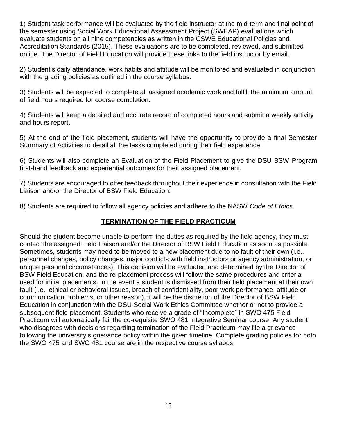1) Student task performance will be evaluated by the field instructor at the mid-term and final point of the semester using Social Work Educational Assessment Project (SWEAP) evaluations which evaluate students on all nine competencies as written in the CSWE Educational Policies and Accreditation Standards (2015). These evaluations are to be completed, reviewed, and submitted online. The Director of Field Education will provide these links to the field instructor by email.

2) Student's daily attendance, work habits and attitude will be monitored and evaluated in conjunction with the grading policies as outlined in the course syllabus.

3) Students will be expected to complete all assigned academic work and fulfill the minimum amount of field hours required for course completion.

4) Students will keep a detailed and accurate record of completed hours and submit a weekly activity and hours report.

5) At the end of the field placement, students will have the opportunity to provide a final Semester Summary of Activities to detail all the tasks completed during their field experience.

6) Students will also complete an Evaluation of the Field Placement to give the DSU BSW Program first-hand feedback and experiential outcomes for their assigned placement.

7) Students are encouraged to offer feedback throughout their experience in consultation with the Field Liaison and/or the Director of BSW Field Education.

8) Students are required to follow all agency policies and adhere to the NASW *Code of Ethics*.

# **TERMINATION OF THE FIELD PRACTICUM**

Should the student become unable to perform the duties as required by the field agency, they must contact the assigned Field Liaison and/or the Director of BSW Field Education as soon as possible. Sometimes, students may need to be moved to a new placement due to no fault of their own (i.e., personnel changes, policy changes, major conflicts with field instructors or agency administration, or unique personal circumstances). This decision will be evaluated and determined by the Director of BSW Field Education, and the re-placement process will follow the same procedures and criteria used for initial placements. In the event a student is dismissed from their field placement at their own fault (i.e., ethical or behavioral issues, breach of confidentiality, poor work performance, attitude or communication problems, or other reason), it will be the discretion of the Director of BSW Field Education in conjunction with the DSU Social Work Ethics Committee whether or not to provide a subsequent field placement. Students who receive a grade of "Incomplete" in SWO 475 Field Practicum will automatically fail the co-requisite SWO 481 Integrative Seminar course. Any student who disagrees with decisions regarding termination of the Field Practicum may file a grievance following the university's grievance policy within the given timeline. Complete grading policies for both the SWO 475 and SWO 481 course are in the respective course syllabus.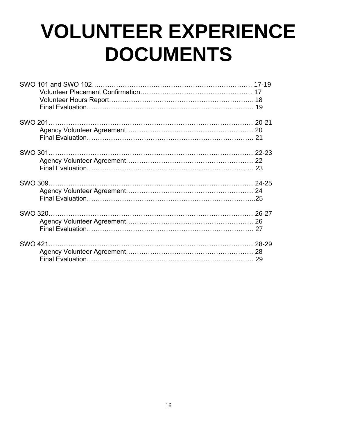# **VOLUNTEER EXPERIENCE DOCUMENTS**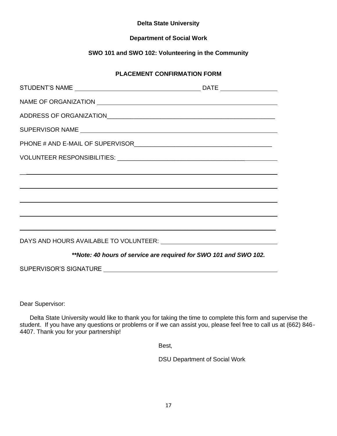#### **Delta State University**

#### **Department of Social Work**

## **SWO 101 and SWO 102: Volunteering in the Community**

#### **PLACEMENT CONFIRMATION FORM**

| **Note: 40 hours of service are required for SWO 101 and SWO 102. |  |
|-------------------------------------------------------------------|--|
|                                                                   |  |

Dear Supervisor:

Delta State University would like to thank you for taking the time to complete this form and supervise the student. If you have any questions or problems or if we can assist you, please feel free to call us at (662) 846- 4407. Thank you for your partnership!

Best,

DSU Department of Social Work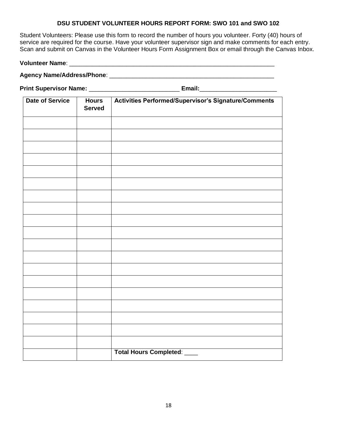#### **DSU STUDENT VOLUNTEER HOURS REPORT FORM: SWO 101 and SWO 102**

Student Volunteers: Please use this form to record the number of hours you volunteer. Forty (40) hours of service are required for the course. Have your volunteer supervisor sign and make comments for each entry. Scan and submit on Canvas in the Volunteer Hours Form Assignment Box or email through the Canvas Inbox.

**Volunteer Name**: \_\_\_\_\_\_\_\_\_\_\_\_\_\_\_\_\_\_\_\_\_\_\_\_\_\_\_\_\_\_\_\_\_\_\_\_\_\_\_\_\_\_\_\_\_\_\_\_\_\_\_\_\_\_\_\_\_\_\_\_\_

**Agency Name/Address/Phone**: \_\_\_\_\_\_\_\_\_\_\_\_\_\_\_\_\_\_\_\_\_\_\_\_\_\_\_\_\_\_\_\_\_\_\_\_\_\_\_\_\_\_\_\_\_\_\_\_\_

**Print Supervisor Name:** \_\_\_\_\_\_\_\_\_\_\_\_\_\_\_\_\_\_\_\_\_\_\_\_\_\_\_ **Email:**\_\_\_\_\_\_\_\_\_\_\_\_\_\_\_\_\_\_\_\_\_\_\_

| <b>Date of Service</b> | <b>Hours</b><br><b>Served</b> | Activities Performed/Supervisor's Signature/Comments |
|------------------------|-------------------------------|------------------------------------------------------|
|                        |                               |                                                      |
|                        |                               |                                                      |
|                        |                               |                                                      |
|                        |                               |                                                      |
|                        |                               |                                                      |
|                        |                               |                                                      |
|                        |                               |                                                      |
|                        |                               |                                                      |
|                        |                               |                                                      |
|                        |                               |                                                      |
|                        |                               |                                                      |
|                        |                               |                                                      |
|                        |                               |                                                      |
|                        |                               |                                                      |
|                        |                               |                                                      |
|                        |                               |                                                      |
|                        |                               |                                                      |
|                        |                               |                                                      |
|                        |                               |                                                      |
|                        |                               | <b>Total Hours Completed:</b>                        |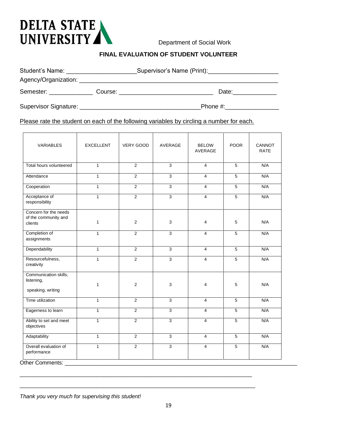

Department of Social Work

#### **FINAL EVALUATION OF STUDENT VOLUNTEER**

| Student's Name: _                                                                                              |  | Supervisor's Name (Print): _________                                                                           |       |  |
|----------------------------------------------------------------------------------------------------------------|--|----------------------------------------------------------------------------------------------------------------|-------|--|
|                                                                                                                |  |                                                                                                                |       |  |
| Semester: expression of the set of the set of the set of the set of the set of the set of the set of the set o |  | Course: will be a controller to the control of the control of the control of the control of the control of the | Date: |  |
| Supervisor Signature: _                                                                                        |  | Phone #:                                                                                                       |       |  |

Please rate the student on each of the following variables by circling a number for each.

| <b>VARIABLES</b>                                         | <b>EXCELLENT</b> | <b>VERY GOOD</b> | AVERAGE        | <b>BELOW</b><br>AVERAGE | <b>POOR</b>    | CANNOT<br><b>RATE</b> |
|----------------------------------------------------------|------------------|------------------|----------------|-------------------------|----------------|-----------------------|
| Total hours volunteered                                  | $\mathbf{1}$     | $\overline{2}$   | $\overline{3}$ | $\overline{4}$          | $\overline{5}$ | N/A                   |
| Attendance                                               | $\mathbf{1}$     | $\overline{2}$   | $\overline{3}$ | $\overline{4}$          | $\overline{5}$ | N/A                   |
| Cooperation                                              | $\mathbf{1}$     | $\overline{2}$   | $\overline{3}$ | $\overline{4}$          | 5              | N/A                   |
| Acceptance of<br>responsibility                          | $\mathbf{1}$     | $\overline{2}$   | $\overline{3}$ | $\overline{4}$          | 5              | N/A                   |
| Concern for the needs<br>of the community and<br>clients | $\mathbf{1}$     | $\overline{2}$   | 3              | $\overline{4}$          | 5              | N/A                   |
| Completion of<br>assignments                             | $\mathbf{1}$     | $\overline{2}$   | $\overline{3}$ | $\overline{4}$          | 5              | N/A                   |
| Dependability                                            | $\mathbf{1}$     | $\overline{2}$   | $\overline{3}$ | $\overline{4}$          | $\overline{5}$ | N/A                   |
| Resourcefulness,<br>creativity                           | $\mathbf{1}$     | $\overline{2}$   | $\overline{3}$ | $\overline{4}$          | 5              | N/A                   |
| Communication skills,<br>listening,<br>speaking, writing | $\mathbf{1}$     | $\overline{2}$   | 3              | $\overline{4}$          | 5              | N/A                   |
| Time utilization                                         | $\mathbf{1}$     | $\overline{2}$   | $\overline{3}$ | $\overline{4}$          | 5              | N/A                   |
| Eagerness to learn                                       | $\mathbf{1}$     | 2                | 3              | $\overline{4}$          | 5              | N/A                   |
| Ability to set and meet<br>objectives                    | $\mathbf{1}$     | $\overline{2}$   | $\overline{3}$ | $\overline{4}$          | 5              | N/A                   |
| Adaptability                                             | $\mathbf{1}$     | $\overline{2}$   | $\overline{3}$ | $\overline{4}$          | $\overline{5}$ | N/A                   |
| Overall evaluation of<br>performance                     | $\mathbf{1}$     | $\overline{2}$   | $\overline{3}$ | $\overline{4}$          | 5              | N/A                   |

*Thank you very much for supervising this student!* 

\_\_\_\_\_\_\_\_\_\_\_\_\_\_\_\_\_\_\_\_\_\_\_\_\_\_\_\_\_\_\_\_\_\_\_\_\_\_\_\_\_\_\_\_\_\_\_\_\_\_\_\_\_\_\_\_\_\_\_\_\_\_\_\_\_\_\_\_\_\_\_\_\_\_\_\_

 $\_$  ,  $\_$  ,  $\_$  ,  $\_$  ,  $\_$  ,  $\_$  ,  $\_$  ,  $\_$  ,  $\_$  ,  $\_$  ,  $\_$  ,  $\_$  ,  $\_$  ,  $\_$  ,  $\_$  ,  $\_$  ,  $\_$  ,  $\_$  ,  $\_$  ,  $\_$  ,  $\_$  ,  $\_$  ,  $\_$  ,  $\_$  ,  $\_$  ,  $\_$  ,  $\_$  ,  $\_$  ,  $\_$  ,  $\_$  ,  $\_$  ,  $\_$  ,  $\_$  ,  $\_$  ,  $\_$  ,  $\_$  ,  $\_$  ,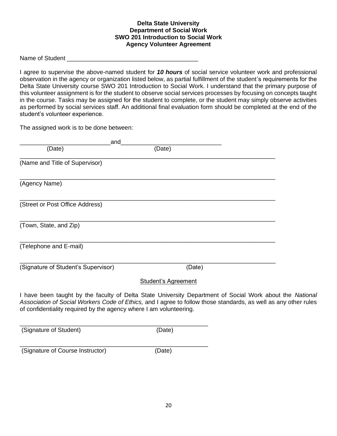#### **Delta State University Department of Social Work SWO 201 Introduction to Social Work Agency Volunteer Agreement**

Name of Student

I agree to supervise the above-named student for *10 hours* of social service volunteer work and professional observation in the agency or organization listed below, as partial fulfillment of the student's requirements for the Delta State University course SWO 201 Introduction to Social Work. I understand that the primary purpose of this volunteer assignment is for the student to observe social services processes by focusing on concepts taught in the course. Tasks may be assigned for the student to complete, or the student may simply observe activities as performed by social services staff. An additional final evaluation form should be completed at the end of the student's volunteer experience.

The assigned work is to be done between:

| (Date)                                                                                                                                                                                                                                                                                            |  |
|---------------------------------------------------------------------------------------------------------------------------------------------------------------------------------------------------------------------------------------------------------------------------------------------------|--|
|                                                                                                                                                                                                                                                                                                   |  |
|                                                                                                                                                                                                                                                                                                   |  |
|                                                                                                                                                                                                                                                                                                   |  |
|                                                                                                                                                                                                                                                                                                   |  |
|                                                                                                                                                                                                                                                                                                   |  |
| (Date)                                                                                                                                                                                                                                                                                            |  |
| <b>Student's Agreement</b>                                                                                                                                                                                                                                                                        |  |
| I have been taught by the faculty of Delta State University Department of Social Work about the National<br>Association of Social Workers Code of Ethics, and I agree to follow those standards, as well as any other rules<br>of confidentiality required by the agency where I am volunteering. |  |
|                                                                                                                                                                                                                                                                                                   |  |

(Signature of Student) (Date)

(Signature of Course Instructor) (Date)

\_\_\_\_\_\_\_\_\_\_\_\_\_\_\_\_\_\_\_\_\_\_\_\_\_\_\_\_\_\_\_\_\_\_\_\_\_\_\_\_\_\_\_\_\_\_\_\_\_\_\_\_\_\_\_\_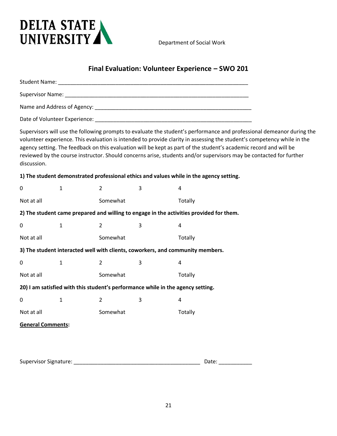

Department of Social Work

# **Final Evaluation: Volunteer Experience – SWO 201**

| Supervisor Name: Name: Name and Supervisor Name and Supervisor Name and Supervisor Name and Supervisor Name and Supervisor Name and Supervisor Name and Supervisor Name and Supervisor Name and Supervisor Name and Supervisor |              |                |                                                                                 |                                                                                                                   |                                                                                                                                                                                                                                                                                                                                                                        |  |
|--------------------------------------------------------------------------------------------------------------------------------------------------------------------------------------------------------------------------------|--------------|----------------|---------------------------------------------------------------------------------|-------------------------------------------------------------------------------------------------------------------|------------------------------------------------------------------------------------------------------------------------------------------------------------------------------------------------------------------------------------------------------------------------------------------------------------------------------------------------------------------------|--|
|                                                                                                                                                                                                                                |              |                |                                                                                 |                                                                                                                   |                                                                                                                                                                                                                                                                                                                                                                        |  |
|                                                                                                                                                                                                                                |              |                |                                                                                 |                                                                                                                   |                                                                                                                                                                                                                                                                                                                                                                        |  |
| discussion.                                                                                                                                                                                                                    |              |                |                                                                                 | agency setting. The feedback on this evaluation will be kept as part of the student's academic record and will be | Supervisors will use the following prompts to evaluate the student's performance and professional demeanor during the<br>volunteer experience. This evaluation is intended to provide clarity in assessing the student's competency while in the<br>reviewed by the course instructor. Should concerns arise, students and/or supervisors may be contacted for further |  |
|                                                                                                                                                                                                                                |              |                |                                                                                 | 1) The student demonstrated professional ethics and values while in the agency setting.                           |                                                                                                                                                                                                                                                                                                                                                                        |  |
| 0                                                                                                                                                                                                                              | 1            | $\overline{2}$ | 3                                                                               | 4                                                                                                                 |                                                                                                                                                                                                                                                                                                                                                                        |  |
| Not at all                                                                                                                                                                                                                     |              | Somewhat       |                                                                                 | Totally                                                                                                           |                                                                                                                                                                                                                                                                                                                                                                        |  |
|                                                                                                                                                                                                                                |              |                |                                                                                 | 2) The student came prepared and willing to engage in the activities provided for them.                           |                                                                                                                                                                                                                                                                                                                                                                        |  |
| 0                                                                                                                                                                                                                              | $\mathbf{1}$ | $\overline{2}$ | 3                                                                               | 4                                                                                                                 |                                                                                                                                                                                                                                                                                                                                                                        |  |
| Not at all                                                                                                                                                                                                                     |              | Somewhat       |                                                                                 | Totally                                                                                                           |                                                                                                                                                                                                                                                                                                                                                                        |  |
|                                                                                                                                                                                                                                |              |                |                                                                                 | 3) The student interacted well with clients, coworkers, and community members.                                    |                                                                                                                                                                                                                                                                                                                                                                        |  |
| 0                                                                                                                                                                                                                              | 1            | 2              | 3                                                                               | 4                                                                                                                 |                                                                                                                                                                                                                                                                                                                                                                        |  |
| Not at all                                                                                                                                                                                                                     |              | Somewhat       |                                                                                 | Totally                                                                                                           |                                                                                                                                                                                                                                                                                                                                                                        |  |
|                                                                                                                                                                                                                                |              |                | 20) I am satisfied with this student's performance while in the agency setting. |                                                                                                                   |                                                                                                                                                                                                                                                                                                                                                                        |  |
| 0                                                                                                                                                                                                                              | 1            | 2              | 3                                                                               | 4                                                                                                                 |                                                                                                                                                                                                                                                                                                                                                                        |  |
| Not at all                                                                                                                                                                                                                     |              | Somewhat       |                                                                                 | Totally                                                                                                           |                                                                                                                                                                                                                                                                                                                                                                        |  |
| <b>General Comments:</b>                                                                                                                                                                                                       |              |                |                                                                                 |                                                                                                                   |                                                                                                                                                                                                                                                                                                                                                                        |  |
|                                                                                                                                                                                                                                |              |                |                                                                                 |                                                                                                                   |                                                                                                                                                                                                                                                                                                                                                                        |  |
|                                                                                                                                                                                                                                |              |                |                                                                                 |                                                                                                                   |                                                                                                                                                                                                                                                                                                                                                                        |  |
| <b>Supervisor Signature:</b>                                                                                                                                                                                                   |              |                |                                                                                 | Date:                                                                                                             |                                                                                                                                                                                                                                                                                                                                                                        |  |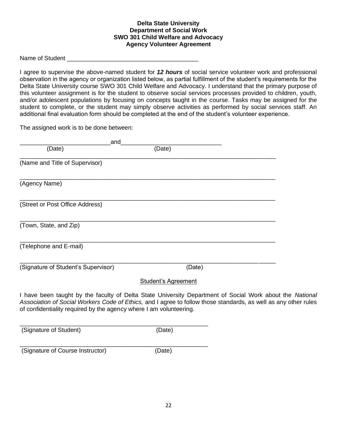#### **Delta State University Department of Social Work SWO 301 Child Welfare and Advocacy Agency Volunteer Agreement**

Name of Student

I agree to supervise the above-named student for *12 hours* of social service volunteer work and professional observation in the agency or organization listed below, as partial fulfillment of the student's requirements for the Delta State University course SWO 301 Child Welfare and Advocacy. I understand that the primary purpose of this volunteer assignment is for the student to observe social services processes provided to children, youth, and/or adolescent populations by focusing on concepts taught in the course. Tasks may be assigned for the student to complete, or the student may simply observe activities as performed by social services staff. An additional final evaluation form should be completed at the end of the student's volunteer experience.

The assigned work is to be done between:

| and                                                                |                                                                                                                                                                                                                             |  |
|--------------------------------------------------------------------|-----------------------------------------------------------------------------------------------------------------------------------------------------------------------------------------------------------------------------|--|
| (Date)                                                             | (Date)                                                                                                                                                                                                                      |  |
| (Name and Title of Supervisor)                                     |                                                                                                                                                                                                                             |  |
| (Agency Name)                                                      |                                                                                                                                                                                                                             |  |
| (Street or Post Office Address)                                    |                                                                                                                                                                                                                             |  |
| (Town, State, and Zip)                                             |                                                                                                                                                                                                                             |  |
| (Telephone and E-mail)                                             |                                                                                                                                                                                                                             |  |
| (Signature of Student's Supervisor)                                | (Date)                                                                                                                                                                                                                      |  |
|                                                                    | <b>Student's Agreement</b>                                                                                                                                                                                                  |  |
| of confidentiality required by the agency where I am volunteering. | I have been taught by the faculty of Delta State University Department of Social Work about the National<br>Association of Social Workers Code of Ethics, and I agree to follow those standards, as well as any other rules |  |
|                                                                    |                                                                                                                                                                                                                             |  |

(Signature of Student) (Date)

(Signature of Course Instructor) (Date)

\_\_\_\_\_\_\_\_\_\_\_\_\_\_\_\_\_\_\_\_\_\_\_\_\_\_\_\_\_\_\_\_\_\_\_\_\_\_\_\_\_\_\_\_\_\_\_\_\_\_\_\_\_\_\_\_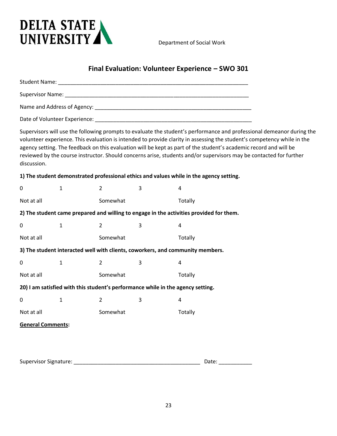

Department of Social Work

# **Final Evaluation: Volunteer Experience – SWO 301**

|                                                                                 | Supervisor Name: Name: Name and Supervisor Name and Supervisor Name and Supervisor Name and Supervisor Name and Supervisor Name and Supervisor Name and Supervisor Name and Supervisor Name and Supervisor Name and Supervisor |                |   |                                                                                                                                                                                                                                                                                                                                                                    |                                                                                                                       |  |
|---------------------------------------------------------------------------------|--------------------------------------------------------------------------------------------------------------------------------------------------------------------------------------------------------------------------------|----------------|---|--------------------------------------------------------------------------------------------------------------------------------------------------------------------------------------------------------------------------------------------------------------------------------------------------------------------------------------------------------------------|-----------------------------------------------------------------------------------------------------------------------|--|
|                                                                                 |                                                                                                                                                                                                                                |                |   |                                                                                                                                                                                                                                                                                                                                                                    |                                                                                                                       |  |
|                                                                                 |                                                                                                                                                                                                                                |                |   |                                                                                                                                                                                                                                                                                                                                                                    |                                                                                                                       |  |
| discussion.                                                                     |                                                                                                                                                                                                                                |                |   | volunteer experience. This evaluation is intended to provide clarity in assessing the student's competency while in the<br>agency setting. The feedback on this evaluation will be kept as part of the student's academic record and will be<br>reviewed by the course instructor. Should concerns arise, students and/or supervisors may be contacted for further | Supervisors will use the following prompts to evaluate the student's performance and professional demeanor during the |  |
|                                                                                 |                                                                                                                                                                                                                                |                |   | 1) The student demonstrated professional ethics and values while in the agency setting.                                                                                                                                                                                                                                                                            |                                                                                                                       |  |
| 0                                                                               | 1                                                                                                                                                                                                                              | $\overline{2}$ | 3 | 4                                                                                                                                                                                                                                                                                                                                                                  |                                                                                                                       |  |
| Not at all                                                                      |                                                                                                                                                                                                                                | Somewhat       |   | Totally                                                                                                                                                                                                                                                                                                                                                            |                                                                                                                       |  |
|                                                                                 |                                                                                                                                                                                                                                |                |   | 2) The student came prepared and willing to engage in the activities provided for them.                                                                                                                                                                                                                                                                            |                                                                                                                       |  |
| 0                                                                               | $\mathbf{1}$                                                                                                                                                                                                                   | $\overline{2}$ | 3 | 4                                                                                                                                                                                                                                                                                                                                                                  |                                                                                                                       |  |
| Not at all                                                                      |                                                                                                                                                                                                                                | Somewhat       |   | Totally                                                                                                                                                                                                                                                                                                                                                            |                                                                                                                       |  |
|                                                                                 |                                                                                                                                                                                                                                |                |   | 3) The student interacted well with clients, coworkers, and community members.                                                                                                                                                                                                                                                                                     |                                                                                                                       |  |
| 0                                                                               | $\mathbf{1}$                                                                                                                                                                                                                   | 2              | 3 | 4                                                                                                                                                                                                                                                                                                                                                                  |                                                                                                                       |  |
| Not at all                                                                      |                                                                                                                                                                                                                                | Somewhat       |   | Totally                                                                                                                                                                                                                                                                                                                                                            |                                                                                                                       |  |
| 20) I am satisfied with this student's performance while in the agency setting. |                                                                                                                                                                                                                                |                |   |                                                                                                                                                                                                                                                                                                                                                                    |                                                                                                                       |  |
| 0                                                                               | 1                                                                                                                                                                                                                              | 2              | 3 | 4                                                                                                                                                                                                                                                                                                                                                                  |                                                                                                                       |  |
| Not at all                                                                      |                                                                                                                                                                                                                                | Somewhat       |   | Totally                                                                                                                                                                                                                                                                                                                                                            |                                                                                                                       |  |
| <b>General Comments:</b>                                                        |                                                                                                                                                                                                                                |                |   |                                                                                                                                                                                                                                                                                                                                                                    |                                                                                                                       |  |
|                                                                                 |                                                                                                                                                                                                                                |                |   |                                                                                                                                                                                                                                                                                                                                                                    |                                                                                                                       |  |
|                                                                                 |                                                                                                                                                                                                                                |                |   |                                                                                                                                                                                                                                                                                                                                                                    |                                                                                                                       |  |
| <b>Supervisor Signature:</b>                                                    |                                                                                                                                                                                                                                |                |   | Date:                                                                                                                                                                                                                                                                                                                                                              |                                                                                                                       |  |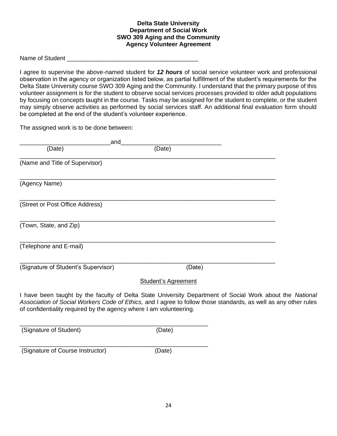#### **Delta State University Department of Social Work SWO 309 Aging and the Community Agency Volunteer Agreement**

Name of Student

I agree to supervise the above-named student for *12 hours* of social service volunteer work and professional observation in the agency or organization listed below, as partial fulfillment of the student's requirements for the Delta State University course SWO 309 Aging and the Community. I understand that the primary purpose of this volunteer assignment is for the student to observe social services processes provided to older adult populations by focusing on concepts taught in the course. Tasks may be assigned for the student to complete, or the student may simply observe activities as performed by social services staff. An additional final evaluation form should be completed at the end of the student's volunteer experience.

The assigned work is to be done between:

| and                                                                |                                                                                                                                                                                                                             |  |
|--------------------------------------------------------------------|-----------------------------------------------------------------------------------------------------------------------------------------------------------------------------------------------------------------------------|--|
| (Date)                                                             | (Date)                                                                                                                                                                                                                      |  |
| (Name and Title of Supervisor)                                     |                                                                                                                                                                                                                             |  |
| (Agency Name)                                                      |                                                                                                                                                                                                                             |  |
| (Street or Post Office Address)                                    |                                                                                                                                                                                                                             |  |
| (Town, State, and Zip)                                             |                                                                                                                                                                                                                             |  |
| (Telephone and E-mail)                                             |                                                                                                                                                                                                                             |  |
| (Signature of Student's Supervisor)                                | (Date)                                                                                                                                                                                                                      |  |
|                                                                    | <b>Student's Agreement</b>                                                                                                                                                                                                  |  |
| of confidentiality required by the agency where I am volunteering. | I have been taught by the faculty of Delta State University Department of Social Work about the National<br>Association of Social Workers Code of Ethics, and I agree to follow those standards, as well as any other rules |  |
|                                                                    |                                                                                                                                                                                                                             |  |

(Signature of Student) (Date)

(Signature of Course Instructor) (Date)

\_\_\_\_\_\_\_\_\_\_\_\_\_\_\_\_\_\_\_\_\_\_\_\_\_\_\_\_\_\_\_\_\_\_\_\_\_\_\_\_\_\_\_\_\_\_\_\_\_\_\_\_\_\_\_\_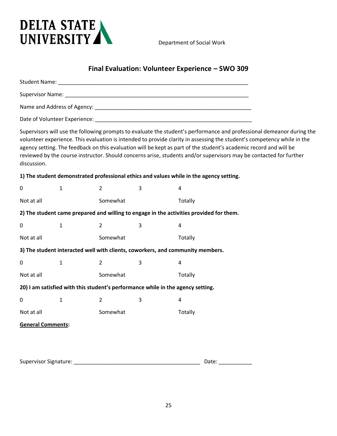

Department of Social Work

# **Final Evaluation: Volunteer Experience – SWO 309**

| discussion.                                                                     |              |                |   | agency setting. The feedback on this evaluation will be kept as part of the student's academic record and will be<br>reviewed by the course instructor. Should concerns arise, students and/or supervisors may be contacted for further | Supervisors will use the following prompts to evaluate the student's performance and professional demeanor during the<br>volunteer experience. This evaluation is intended to provide clarity in assessing the student's competency while in the |  |
|---------------------------------------------------------------------------------|--------------|----------------|---|-----------------------------------------------------------------------------------------------------------------------------------------------------------------------------------------------------------------------------------------|--------------------------------------------------------------------------------------------------------------------------------------------------------------------------------------------------------------------------------------------------|--|
|                                                                                 |              |                |   | 1) The student demonstrated professional ethics and values while in the agency setting.                                                                                                                                                 |                                                                                                                                                                                                                                                  |  |
| $\pmb{0}$                                                                       | $\mathbf{1}$ | $\overline{2}$ | 3 | 4                                                                                                                                                                                                                                       |                                                                                                                                                                                                                                                  |  |
| Not at all                                                                      |              | Somewhat       |   | Totally                                                                                                                                                                                                                                 |                                                                                                                                                                                                                                                  |  |
|                                                                                 |              |                |   | 2) The student came prepared and willing to engage in the activities provided for them.                                                                                                                                                 |                                                                                                                                                                                                                                                  |  |
| $\pmb{0}$                                                                       | $\mathbf{1}$ | $\overline{2}$ | 3 | 4                                                                                                                                                                                                                                       |                                                                                                                                                                                                                                                  |  |
| Not at all                                                                      |              | Somewhat       |   | Totally                                                                                                                                                                                                                                 |                                                                                                                                                                                                                                                  |  |
|                                                                                 |              |                |   | 3) The student interacted well with clients, coworkers, and community members.                                                                                                                                                          |                                                                                                                                                                                                                                                  |  |
| 0                                                                               | $\mathbf{1}$ | $\overline{2}$ | 3 | 4                                                                                                                                                                                                                                       |                                                                                                                                                                                                                                                  |  |
| Not at all                                                                      |              | Somewhat       |   | Totally                                                                                                                                                                                                                                 |                                                                                                                                                                                                                                                  |  |
| 20) I am satisfied with this student's performance while in the agency setting. |              |                |   |                                                                                                                                                                                                                                         |                                                                                                                                                                                                                                                  |  |
| 0                                                                               | $\mathbf{1}$ | 2              | 3 | 4                                                                                                                                                                                                                                       |                                                                                                                                                                                                                                                  |  |
| Not at all                                                                      |              | Somewhat       |   | Totally                                                                                                                                                                                                                                 |                                                                                                                                                                                                                                                  |  |
| <b>General Comments:</b>                                                        |              |                |   |                                                                                                                                                                                                                                         |                                                                                                                                                                                                                                                  |  |
|                                                                                 |              |                |   |                                                                                                                                                                                                                                         |                                                                                                                                                                                                                                                  |  |
|                                                                                 |              |                |   |                                                                                                                                                                                                                                         |                                                                                                                                                                                                                                                  |  |
| <b>Supervisor Signature:</b>                                                    |              |                |   | Date:                                                                                                                                                                                                                                   |                                                                                                                                                                                                                                                  |  |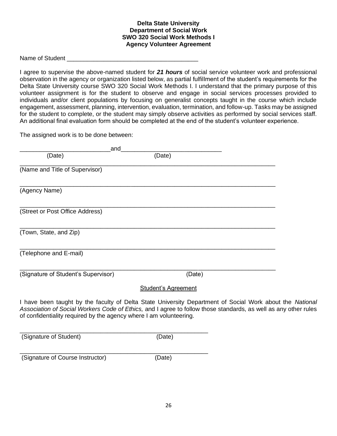#### **Delta State University Department of Social Work SWO 320 Social Work Methods I Agency Volunteer Agreement**

Name of Student **Name of Student** 

I agree to supervise the above-named student for *21 hours* of social service volunteer work and professional observation in the agency or organization listed below, as partial fulfillment of the student's requirements for the Delta State University course SWO 320 Social Work Methods I. I understand that the primary purpose of this volunteer assignment is for the student to observe and engage in social services processes provided to individuals and/or client populations by focusing on generalist concepts taught in the course which include engagement, assessment, planning, intervention, evaluation, termination, and follow-up. Tasks may be assigned for the student to complete, or the student may simply observe activities as performed by social services staff. An additional final evaluation form should be completed at the end of the student's volunteer experience.

The assigned work is to be done between:

| and                                                                                                                                                                                                                                                                                               |                            |  |
|---------------------------------------------------------------------------------------------------------------------------------------------------------------------------------------------------------------------------------------------------------------------------------------------------|----------------------------|--|
| (Date)                                                                                                                                                                                                                                                                                            | (Date)                     |  |
| (Name and Title of Supervisor)                                                                                                                                                                                                                                                                    |                            |  |
| (Agency Name)                                                                                                                                                                                                                                                                                     |                            |  |
| (Street or Post Office Address)                                                                                                                                                                                                                                                                   |                            |  |
| (Town, State, and Zip)                                                                                                                                                                                                                                                                            |                            |  |
| (Telephone and E-mail)                                                                                                                                                                                                                                                                            |                            |  |
| (Signature of Student's Supervisor)                                                                                                                                                                                                                                                               | (Date)                     |  |
|                                                                                                                                                                                                                                                                                                   | <b>Student's Agreement</b> |  |
| I have been taught by the faculty of Delta State University Department of Social Work about the National<br>Association of Social Workers Code of Ethics, and I agree to follow those standards, as well as any other rules<br>of confidentiality required by the agency where I am volunteering. |                            |  |
| (Signature of Student)                                                                                                                                                                                                                                                                            | (Date)                     |  |
| (Signature of Course Instructor)                                                                                                                                                                                                                                                                  | (Date)                     |  |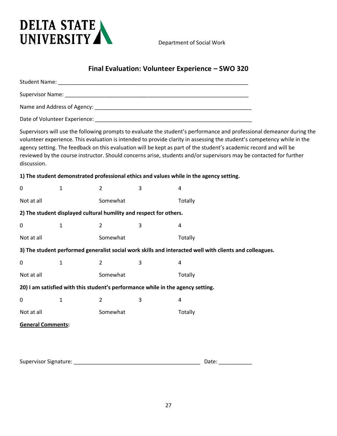

Department of Social Work

# **Final Evaluation: Volunteer Experience – SWO 320**

| discussion.              |              |                |                                                                                                         |         |  | Supervisors will use the following prompts to evaluate the student's performance and professional demeanor during the<br>volunteer experience. This evaluation is intended to provide clarity in assessing the student's competency while in the<br>agency setting. The feedback on this evaluation will be kept as part of the student's academic record and will be<br>reviewed by the course instructor. Should concerns arise, students and/or supervisors may be contacted for further |
|--------------------------|--------------|----------------|---------------------------------------------------------------------------------------------------------|---------|--|---------------------------------------------------------------------------------------------------------------------------------------------------------------------------------------------------------------------------------------------------------------------------------------------------------------------------------------------------------------------------------------------------------------------------------------------------------------------------------------------|
|                          |              |                | 1) The student demonstrated professional ethics and values while in the agency setting.                 |         |  |                                                                                                                                                                                                                                                                                                                                                                                                                                                                                             |
| $\pmb{0}$                | $\mathbf{1}$ | $\overline{2}$ | 3                                                                                                       | 4       |  |                                                                                                                                                                                                                                                                                                                                                                                                                                                                                             |
| Not at all               |              | Somewhat       |                                                                                                         | Totally |  |                                                                                                                                                                                                                                                                                                                                                                                                                                                                                             |
|                          |              |                | 2) The student displayed cultural humility and respect for others.                                      |         |  |                                                                                                                                                                                                                                                                                                                                                                                                                                                                                             |
| 0                        | $\mathbf{1}$ | 2              | 3                                                                                                       | 4       |  |                                                                                                                                                                                                                                                                                                                                                                                                                                                                                             |
| Not at all               |              | Somewhat       |                                                                                                         | Totally |  |                                                                                                                                                                                                                                                                                                                                                                                                                                                                                             |
|                          |              |                | 3) The student performed generalist social work skills and interacted well with clients and colleagues. |         |  |                                                                                                                                                                                                                                                                                                                                                                                                                                                                                             |
| 0                        | $\mathbf{1}$ | $\overline{2}$ | 3                                                                                                       | 4       |  |                                                                                                                                                                                                                                                                                                                                                                                                                                                                                             |
| Not at all               |              | Somewhat       |                                                                                                         | Totally |  |                                                                                                                                                                                                                                                                                                                                                                                                                                                                                             |
|                          |              |                | 20) I am satisfied with this student's performance while in the agency setting.                         |         |  |                                                                                                                                                                                                                                                                                                                                                                                                                                                                                             |
| 0                        | 1            | $\overline{2}$ | 3                                                                                                       | 4       |  |                                                                                                                                                                                                                                                                                                                                                                                                                                                                                             |
| Not at all               |              | Somewhat       |                                                                                                         | Totally |  |                                                                                                                                                                                                                                                                                                                                                                                                                                                                                             |
| <b>General Comments:</b> |              |                |                                                                                                         |         |  |                                                                                                                                                                                                                                                                                                                                                                                                                                                                                             |
|                          |              |                |                                                                                                         | Date:   |  |                                                                                                                                                                                                                                                                                                                                                                                                                                                                                             |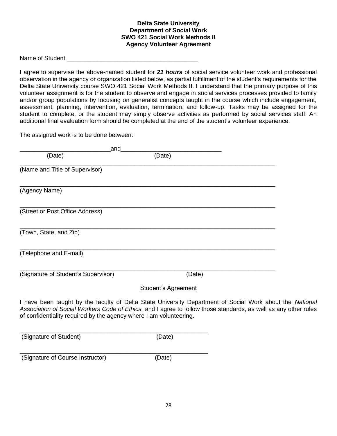#### **Delta State University Department of Social Work SWO 421 Social Work Methods II Agency Volunteer Agreement**

Name of Student \_\_\_\_\_\_\_\_\_\_\_\_\_\_\_\_\_\_\_\_\_\_\_\_\_\_\_\_\_\_\_\_\_\_\_\_\_\_\_

I agree to supervise the above-named student for *21 hours* of social service volunteer work and professional observation in the agency or organization listed below, as partial fulfillment of the student's requirements for the Delta State University course SWO 421 Social Work Methods II. I understand that the primary purpose of this volunteer assignment is for the student to observe and engage in social services processes provided to family and/or group populations by focusing on generalist concepts taught in the course which include engagement, assessment, planning, intervention, evaluation, termination, and follow-up. Tasks may be assigned for the student to complete, or the student may simply observe activities as performed by social services staff. An additional final evaluation form should be completed at the end of the student's volunteer experience.

The assigned work is to be done between:

| and                                                                |                            |                                                                                                                                                                                                                             |
|--------------------------------------------------------------------|----------------------------|-----------------------------------------------------------------------------------------------------------------------------------------------------------------------------------------------------------------------------|
| (Date)                                                             | (Date)                     |                                                                                                                                                                                                                             |
| (Name and Title of Supervisor)                                     |                            |                                                                                                                                                                                                                             |
| (Agency Name)                                                      |                            |                                                                                                                                                                                                                             |
| (Street or Post Office Address)                                    |                            |                                                                                                                                                                                                                             |
| (Town, State, and Zip)                                             |                            |                                                                                                                                                                                                                             |
| (Telephone and E-mail)                                             |                            |                                                                                                                                                                                                                             |
| (Signature of Student's Supervisor)                                | (Date)                     |                                                                                                                                                                                                                             |
|                                                                    | <b>Student's Agreement</b> |                                                                                                                                                                                                                             |
| of confidentiality required by the agency where I am volunteering. |                            | I have been taught by the faculty of Delta State University Department of Social Work about the National<br>Association of Social Workers Code of Ethics, and I agree to follow those standards, as well as any other rules |
| (Signature of Student)                                             | (Date)                     |                                                                                                                                                                                                                             |
| (Signature of Course Instructor)                                   | (Date)                     |                                                                                                                                                                                                                             |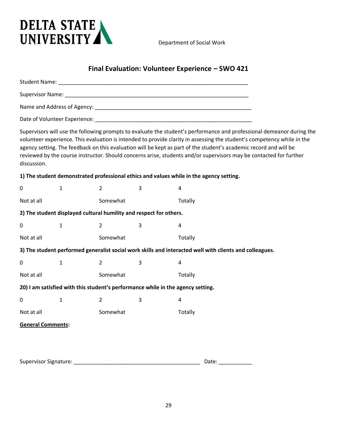

Department of Social Work

# **Final Evaluation: Volunteer Experience – SWO 421**

| discussion.              |              |                |                                                                                         |         | agency setting. The feedback on this evaluation will be kept as part of the student's academic record and will be | Supervisors will use the following prompts to evaluate the student's performance and professional demeanor during the<br>volunteer experience. This evaluation is intended to provide clarity in assessing the student's competency while in the<br>reviewed by the course instructor. Should concerns arise, students and/or supervisors may be contacted for further |
|--------------------------|--------------|----------------|-----------------------------------------------------------------------------------------|---------|-------------------------------------------------------------------------------------------------------------------|------------------------------------------------------------------------------------------------------------------------------------------------------------------------------------------------------------------------------------------------------------------------------------------------------------------------------------------------------------------------|
|                          |              |                | 1) The student demonstrated professional ethics and values while in the agency setting. |         |                                                                                                                   |                                                                                                                                                                                                                                                                                                                                                                        |
| 0                        | 1            | $\overline{2}$ | 3                                                                                       | 4       |                                                                                                                   |                                                                                                                                                                                                                                                                                                                                                                        |
| Not at all               |              | Somewhat       |                                                                                         | Totally |                                                                                                                   |                                                                                                                                                                                                                                                                                                                                                                        |
|                          |              |                | 2) The student displayed cultural humility and respect for others.                      |         |                                                                                                                   |                                                                                                                                                                                                                                                                                                                                                                        |
| 0                        | $\mathbf{1}$ | 2              | 3                                                                                       | 4       |                                                                                                                   |                                                                                                                                                                                                                                                                                                                                                                        |
| Not at all               |              | Somewhat       |                                                                                         | Totally |                                                                                                                   |                                                                                                                                                                                                                                                                                                                                                                        |
|                          |              |                |                                                                                         |         | 3) The student performed generalist social work skills and interacted well with clients and colleagues.           |                                                                                                                                                                                                                                                                                                                                                                        |
| 0                        | $\mathbf{1}$ | $\overline{2}$ | 3                                                                                       | 4       |                                                                                                                   |                                                                                                                                                                                                                                                                                                                                                                        |
| Not at all               |              | Somewhat       |                                                                                         | Totally |                                                                                                                   |                                                                                                                                                                                                                                                                                                                                                                        |
|                          |              |                | 20) I am satisfied with this student's performance while in the agency setting.         |         |                                                                                                                   |                                                                                                                                                                                                                                                                                                                                                                        |
| 0                        | $\mathbf{1}$ | 2              | 3                                                                                       | 4       |                                                                                                                   |                                                                                                                                                                                                                                                                                                                                                                        |
| Not at all               |              | Somewhat       |                                                                                         | Totally |                                                                                                                   |                                                                                                                                                                                                                                                                                                                                                                        |
| <b>General Comments:</b> |              |                |                                                                                         |         |                                                                                                                   |                                                                                                                                                                                                                                                                                                                                                                        |
|                          |              |                |                                                                                         |         |                                                                                                                   |                                                                                                                                                                                                                                                                                                                                                                        |
|                          |              |                |                                                                                         |         |                                                                                                                   |                                                                                                                                                                                                                                                                                                                                                                        |
|                          |              |                |                                                                                         |         | Date:                                                                                                             |                                                                                                                                                                                                                                                                                                                                                                        |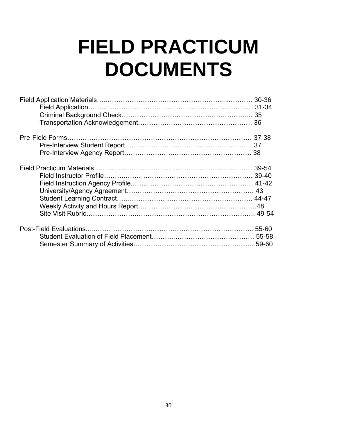# **FIELD PRACTICUM DOCUMENTS**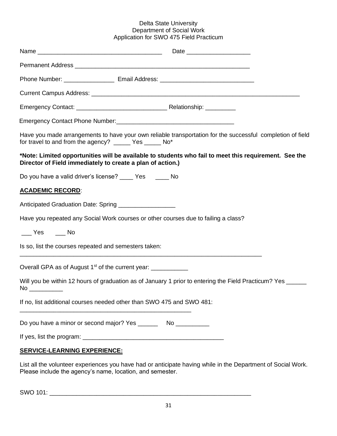#### Delta State University Department of Social Work Application for SWO 475 Field Practicum

|                                                       | Have you made arrangements to have your own reliable transportation for the successful completion of field<br>for travel to and from the agency? _____ Yes _____ No*                                                               |
|-------------------------------------------------------|------------------------------------------------------------------------------------------------------------------------------------------------------------------------------------------------------------------------------------|
|                                                       | *Note: Limited opportunities will be available to students who fail to meet this requirement. See the<br>Director of Field immediately to create a plan of action.)                                                                |
|                                                       | Do you have a valid driver's license? _____ Yes ______ No                                                                                                                                                                          |
| <b>ACADEMIC RECORD:</b>                               |                                                                                                                                                                                                                                    |
|                                                       | Anticipated Graduation Date: Spring ___________________                                                                                                                                                                            |
|                                                       | Have you repeated any Social Work courses or other courses due to failing a class?                                                                                                                                                 |
| $\rule{1em}{0.15mm}$ Yes $\rule{1em}{0.15mm}$ No      |                                                                                                                                                                                                                                    |
| Is so, list the courses repeated and semesters taken: |                                                                                                                                                                                                                                    |
|                                                       | Overall GPA as of August 1 <sup>st</sup> of the current year: ___________                                                                                                                                                          |
| No                                                    | Will you be within 12 hours of graduation as of January 1 prior to entering the Field Practicum? Yes _____<br><u> Andreas Andreas Andreas Andreas Andreas Andreas Andreas Andreas Andreas Andreas Andreas Andreas Andreas Andr</u> |
|                                                       | If no, list additional courses needed other than SWO 475 and SWO 481:                                                                                                                                                              |
|                                                       |                                                                                                                                                                                                                                    |
|                                                       |                                                                                                                                                                                                                                    |

List all the volunteer experiences you have had or anticipate having while in the Department of Social Work. Please include the agency's name, location, and semester.

SWO 101: \_\_\_\_\_\_\_\_\_\_\_\_\_\_\_\_\_\_\_\_\_\_\_\_\_\_\_\_\_\_\_\_\_\_\_\_\_\_\_\_\_\_\_\_\_\_\_\_\_\_\_\_\_\_\_\_\_\_\_\_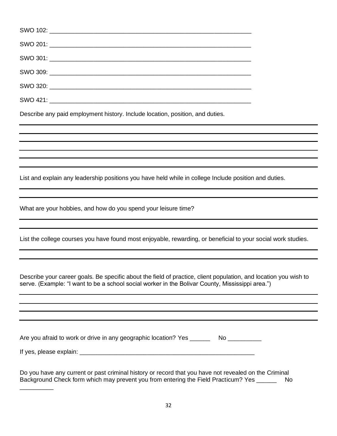Describe any paid employment history. Include location, position, and duties.

List and explain any leadership positions you have held while in college Include position and duties.

What are your hobbies, and how do you spend your leisure time?

List the college courses you have found most enjoyable, rewarding, or beneficial to your social work studies.

Describe your career goals. Be specific about the field of practice, client population, and location you wish to serve. (Example: "I want to be a school social worker in the Bolivar County, Mississippi area.")

| Are you afraid to work or drive in any geographic location? Yes | No |
|-----------------------------------------------------------------|----|
|                                                                 |    |

If yes, please explain: \_\_\_\_\_\_\_\_\_\_\_\_\_\_\_\_\_\_\_\_\_\_\_\_\_\_\_\_\_\_\_\_\_\_\_\_\_\_\_\_\_\_\_\_\_\_\_\_\_\_\_\_

\_\_\_\_\_\_\_\_\_\_

Do you have any current or past criminal history or record that you have not revealed on the Criminal Background Check form which may prevent you from entering the Field Practicum? Yes \_\_\_\_\_\_\_\_ No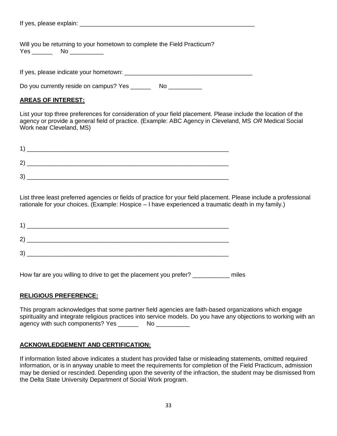Will you be returning to your hometown to complete the Field Practicum? Yes \_\_\_\_\_\_\_\_ No \_\_\_\_\_\_\_\_\_\_\_

If yes, please indicate your hometown:  $\blacksquare$ 

Do you currently reside on campus? Yes \_\_\_\_\_\_ No \_\_\_\_\_\_\_\_\_\_

#### **AREAS OF INTEREST:**

List your top three preferences for consideration of your field placement. Please include the location of the agency or provide a general field of practice. (Example: ABC Agency in Cleveland, MS *OR* Medical Social Work near Cleveland, MS)

| 2 |  |  |
|---|--|--|

List three least preferred agencies or fields of practice for your field placement. Please include a professional rationale for your choices. (Example: Hospice – I have experienced a traumatic death in my family.)

| $\mathbf{1}$ |  |  |
|--------------|--|--|
| $\mathbf{2}$ |  |  |
| 3)           |  |  |

How far are you willing to drive to get the placement you prefer? \_\_\_\_\_\_\_\_\_\_\_ miles

#### **RELIGIOUS PREFERENCE:**

This program acknowledges that some partner field agencies are faith-based organizations which engage spirituality and integrate religious practices into service models. Do you have any objections to working with an agency with such components? Yes \_\_\_\_\_\_\_\_\_ No \_\_\_\_\_\_\_\_\_

#### **ACKNOWLEDGEMENT AND CERTIFICATION:**

If information listed above indicates a student has provided false or misleading statements, omitted required information, or is in anyway unable to meet the requirements for completion of the Field Practicum, admission may be denied or rescinded. Depending upon the severity of the infraction, the student may be dismissed from the Delta State University Department of Social Work program.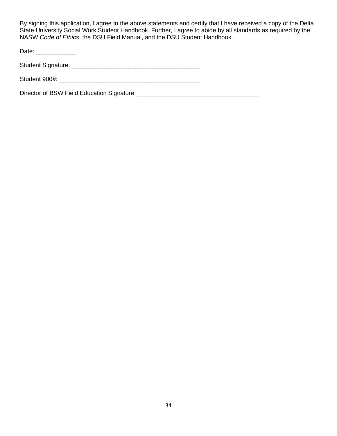By signing this application, I agree to the above statements and certify that I have received a copy of the Delta State University Social Work Student Handbook. Further, I agree to abide by all standards as required by the NASW *Code of Ethics*, the DSU Field Manual, and the DSU Student Handbook.

Date: \_\_\_\_\_\_\_\_\_\_\_\_\_\_\_

Student Signature: \_\_\_\_\_\_\_\_\_\_\_\_\_\_\_\_\_\_\_\_\_\_\_\_\_\_\_\_\_\_\_\_\_\_\_\_\_\_

Student 900#: \_\_\_\_\_\_\_\_\_\_\_\_\_\_\_\_\_\_\_\_\_\_\_\_\_\_\_\_\_\_\_\_\_\_\_\_\_\_\_\_\_\_

Director of BSW Field Education Signature: \_\_\_\_\_\_\_\_\_\_\_\_\_\_\_\_\_\_\_\_\_\_\_\_\_\_\_\_\_\_\_\_\_\_\_\_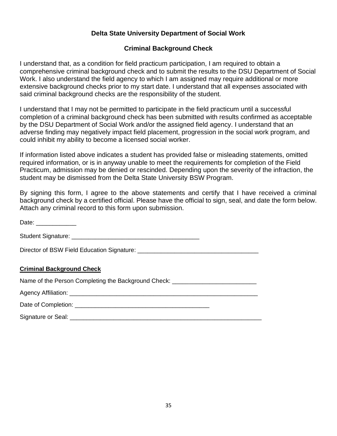# **Delta State University Department of Social Work**

# **Criminal Background Check**

I understand that, as a condition for field practicum participation, I am required to obtain a comprehensive criminal background check and to submit the results to the DSU Department of Social Work. I also understand the field agency to which I am assigned may require additional or more extensive background checks prior to my start date. I understand that all expenses associated with said criminal background checks are the responsibility of the student.

I understand that I may not be permitted to participate in the field practicum until a successful completion of a criminal background check has been submitted with results confirmed as acceptable by the DSU Department of Social Work and/or the assigned field agency. I understand that an adverse finding may negatively impact field placement, progression in the social work program, and could inhibit my ability to become a licensed social worker.

If information listed above indicates a student has provided false or misleading statements, omitted required information, or is in anyway unable to meet the requirements for completion of the Field Practicum, admission may be denied or rescinded. Depending upon the severity of the infraction, the student may be dismissed from the Delta State University BSW Program.

By signing this form, I agree to the above statements and certify that I have received a criminal background check by a certified official. Please have the official to sign, seal, and date the form below. Attach any criminal record to this form upon submission.

| Date: ____________                                                               |
|----------------------------------------------------------------------------------|
|                                                                                  |
|                                                                                  |
| <b>Criminal Background Check</b>                                                 |
| Name of the Person Completing the Background Check: ____________________________ |
|                                                                                  |
|                                                                                  |
| Signature or Seal:                                                               |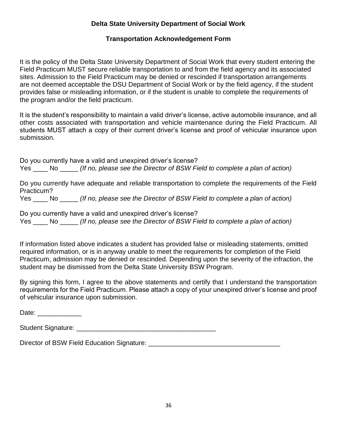# **Delta State University Department of Social Work**

## **Transportation Acknowledgement Form**

It is the policy of the Delta State University Department of Social Work that every student entering the Field Practicum MUST secure reliable transportation to and from the field agency and its associated sites. Admission to the Field Practicum may be denied or rescinded if transportation arrangements are not deemed acceptable the DSU Department of Social Work or by the field agency, if the student provides false or misleading information, or if the student is unable to complete the requirements of the program and/or the field practicum.

It is the student's responsibility to maintain a valid driver's license, active automobile insurance, and all other costs associated with transportation and vehicle maintenance during the Field Practicum. All students MUST attach a copy of their current driver's license and proof of vehicular insurance upon submission.

Do you currently have a valid and unexpired driver's license? Yes \_\_\_\_ No \_\_\_\_\_ *(If no, please see the Director of BSW Field to complete a plan of action)*

Do you currently have adequate and reliable transportation to complete the requirements of the Field Practicum?

Yes \_\_\_\_ No \_\_\_\_\_ *(If no, please see the Director of BSW Field to complete a plan of action)*

Do you currently have a valid and unexpired driver's license?

Yes \_\_\_\_ No \_\_\_\_\_ *(If no, please see the Director of BSW Field to complete a plan of action)*

If information listed above indicates a student has provided false or misleading statements, omitted required information, or is in anyway unable to meet the requirements for completion of the Field Practicum, admission may be denied or rescinded. Depending upon the severity of the infraction, the student may be dismissed from the Delta State University BSW Program.

By signing this form, I agree to the above statements and certify that I understand the transportation requirements for the Field Practicum. Please attach a copy of your unexpired driver's license and proof of vehicular insurance upon submission.

Date:  $\Box$ 

| <b>Student Signature:</b> |  |
|---------------------------|--|
|                           |  |

Director of BSW Field Education Signature:  $\Box$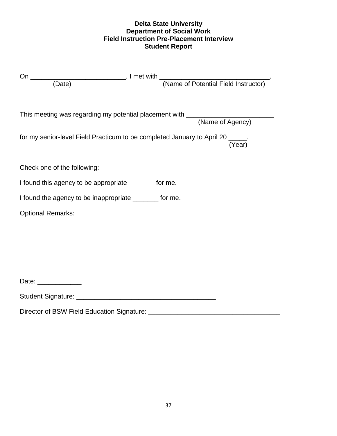## **Delta State University Department of Social Work Field Instruction Pre-Placement Interview Student Report**

| This meeting was regarding my potential placement with __________________________ |        |
|-----------------------------------------------------------------------------------|--------|
| for my senior-level Field Practicum to be completed January to April 20 _____.    |        |
|                                                                                   | (Year) |
|                                                                                   |        |
| Check one of the following:                                                       |        |
| I found this agency to be appropriate ________ for me.                            |        |
| I found the agency to be inappropriate ________ for me.                           |        |
| <b>Optional Remarks:</b>                                                          |        |
|                                                                                   |        |
|                                                                                   |        |
|                                                                                   |        |
|                                                                                   |        |
|                                                                                   |        |
| Date: _____________                                                               |        |
|                                                                                   |        |

Director of BSW Field Education Signature: \_\_\_\_\_\_\_\_\_\_\_\_\_\_\_\_\_\_\_\_\_\_\_\_\_\_\_\_\_\_\_\_\_\_\_\_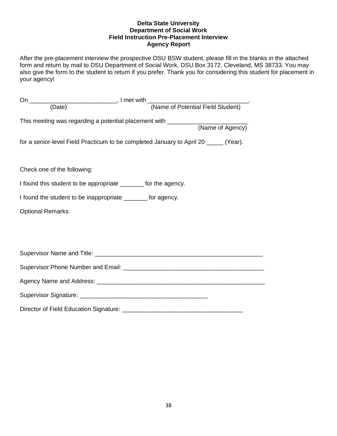#### **Delta State University Department of Social Work Field Instruction Pre-Placement Interview Agency Report**

After the pre-placement interview the prospective DSU BSW student, please fill in the blanks in the attached form and return by mail to DSU Department of Social Work, DSU Box 3172, Cleveland, MS 38733. You may also give the form to the student to return if you prefer. Thank you for considering this student for placement in your agency!

| (Date)                                                         | (Name of Potential Field Student)                                                                     |
|----------------------------------------------------------------|-------------------------------------------------------------------------------------------------------|
|                                                                | This meeting was regarding a potential placement with ___________________________<br>(Name of Agency) |
|                                                                |                                                                                                       |
|                                                                | for a senior-level Field Practicum to be completed January to April 20 _____ (Year).                  |
|                                                                |                                                                                                       |
| Check one of the following:                                    |                                                                                                       |
| I found this student to be appropriate _______ for the agency. |                                                                                                       |
| I found the student to be inappropriate _______ for agency.    |                                                                                                       |
| <b>Optional Remarks:</b>                                       |                                                                                                       |
|                                                                |                                                                                                       |
|                                                                |                                                                                                       |
|                                                                |                                                                                                       |
|                                                                |                                                                                                       |
|                                                                |                                                                                                       |
|                                                                |                                                                                                       |
|                                                                |                                                                                                       |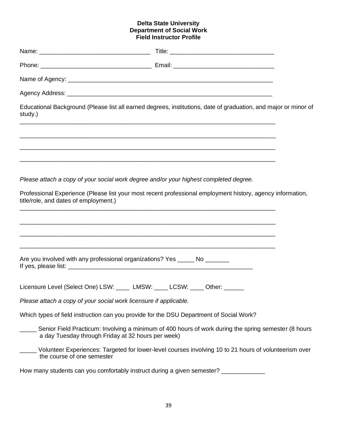#### **Delta State University Department of Social Work Field Instructor Profile**

| study.)                                                                                 | Educational Background (Please list all earned degrees, institutions, date of graduation, and major or minor of<br><u> 1989 - Johann Stoff, deutscher Stoff, der Stoff, der Stoff, der Stoff, der Stoff, der Stoff, der Stoff, der S</u> |  |
|-----------------------------------------------------------------------------------------|------------------------------------------------------------------------------------------------------------------------------------------------------------------------------------------------------------------------------------------|--|
|                                                                                         |                                                                                                                                                                                                                                          |  |
| Please attach a copy of your social work degree and/or your highest completed degree.   |                                                                                                                                                                                                                                          |  |
| title/role, and dates of employment.)                                                   | Professional Experience (Please list your most recent professional employment history, agency information,                                                                                                                               |  |
|                                                                                         |                                                                                                                                                                                                                                          |  |
| Are you involved with any professional organizations? Yes _____ No _______              |                                                                                                                                                                                                                                          |  |
| Licensure Level (Select One) LSW: _____ LMSW: ____ LCSW: _                              | ____ Other:                                                                                                                                                                                                                              |  |
| Please attach a copy of your social work licensure if applicable.                       |                                                                                                                                                                                                                                          |  |
| Which types of field instruction can you provide for the DSU Department of Social Work? |                                                                                                                                                                                                                                          |  |
| a day Tuesday through Friday at 32 hours per week)                                      | Senior Field Practicum: Involving a minimum of 400 hours of work during the spring semester (8 hours                                                                                                                                     |  |
| the course of one semester                                                              | Volunteer Experiences: Targeted for lower-level courses involving 10 to 21 hours of volunteerism over                                                                                                                                    |  |
| How many students can you comfortably instruct during a given semester?                 |                                                                                                                                                                                                                                          |  |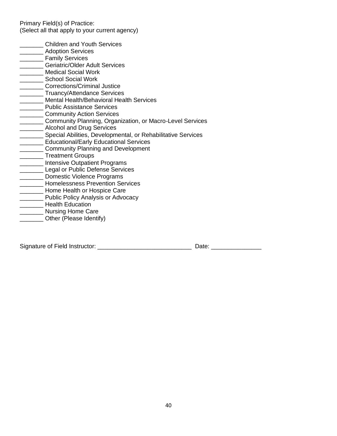Primary Field(s) of Practice: (Select all that apply to your current agency)

- **LETTER** Children and Youth Services
- \_\_\_\_\_\_\_ Adoption Services
- **\_\_\_\_\_\_\_\_** Family Services
- \_\_\_\_\_\_\_ Geriatric/Older Adult Services
- \_\_\_\_\_\_\_ Medical Social Work
- **Example 2 School Social Work**
- **\_\_\_\_\_\_\_\_** Corrections/Criminal Justice
- **\_\_\_\_\_\_\_\_** Truancy/Attendance Services
- **\_\_\_\_\_\_** Mental Health/Behavioral Health Services
- **\_\_\_\_\_\_\_** Public Assistance Services
- **\_\_\_\_\_\_\_\_\_** Community Action Services
- \_\_\_\_\_\_\_ Community Planning, Organization, or Macro-Level Services
- **\_\_\_\_\_\_\_\_** Alcohol and Drug Services
- **\_\_\_\_\_\_\_ Special Abilities, Developmental, or Rehabilitative Services**
- **Educational/Early Educational Services**
- \_\_\_\_\_\_\_ Community Planning and Development
- Letter Treatment Groups
- \_\_\_\_\_\_\_ Intensive Outpatient Programs
- **Legal or Public Defense Services**
- **LETTE** Domestic Violence Programs
- \_\_\_\_\_\_\_ Homelessness Prevention Services
- **LETT** Home Health or Hospice Care
- **WELLET PUBLIC Policy Analysis or Advocacy**
- \_\_\_\_\_\_\_ Health Education
- **Warner Care**<br> **Nursing Home Care**
- Other (Please Identify)

Signature of Field Instructor: \_\_\_\_\_\_\_\_\_\_\_\_\_\_\_\_\_\_\_\_\_\_\_\_\_\_\_\_ Date: \_\_\_\_\_\_\_\_\_\_\_\_\_\_\_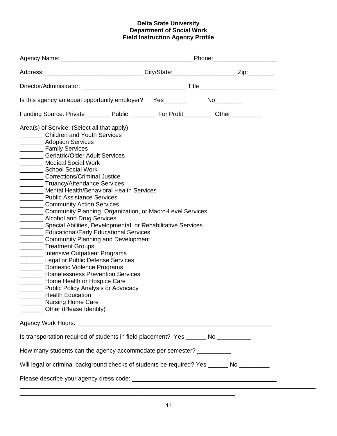#### **Delta State University Department of Social Work Field Instruction Agency Profile**

| Address: __________________________________City/State:_______________________Zip:___________                                                                                                                                                                                                                                                                                                                                                                                                                                                                                                                                                                                                                                                                                                                                                                                                                                                                                                                                                                                                                                                                                                                                                                                                                                                                                                                                                                                                                                                                                         |  |  |  |
|--------------------------------------------------------------------------------------------------------------------------------------------------------------------------------------------------------------------------------------------------------------------------------------------------------------------------------------------------------------------------------------------------------------------------------------------------------------------------------------------------------------------------------------------------------------------------------------------------------------------------------------------------------------------------------------------------------------------------------------------------------------------------------------------------------------------------------------------------------------------------------------------------------------------------------------------------------------------------------------------------------------------------------------------------------------------------------------------------------------------------------------------------------------------------------------------------------------------------------------------------------------------------------------------------------------------------------------------------------------------------------------------------------------------------------------------------------------------------------------------------------------------------------------------------------------------------------------|--|--|--|
|                                                                                                                                                                                                                                                                                                                                                                                                                                                                                                                                                                                                                                                                                                                                                                                                                                                                                                                                                                                                                                                                                                                                                                                                                                                                                                                                                                                                                                                                                                                                                                                      |  |  |  |
| Is this agency an equal opportunity employer? Yes_______________________________                                                                                                                                                                                                                                                                                                                                                                                                                                                                                                                                                                                                                                                                                                                                                                                                                                                                                                                                                                                                                                                                                                                                                                                                                                                                                                                                                                                                                                                                                                     |  |  |  |
| Funding Source: Private _________ Public _________ For Profit_________ Other ________                                                                                                                                                                                                                                                                                                                                                                                                                                                                                                                                                                                                                                                                                                                                                                                                                                                                                                                                                                                                                                                                                                                                                                                                                                                                                                                                                                                                                                                                                                |  |  |  |
| Area(s) of Service: (Select all that apply)<br>_________ Children and Youth Services<br>_________ Adoption Services<br>_________ Family Services<br>________ Geriatric/Older Adult Services<br>_______ Medical Social Work<br>_________ School Social Work<br>_________ Corrections/Criminal Justice<br>________ Truancy/Attendance Services<br>______ Mental Health/Behavioral Health Services<br>_________ Public Assistance Services<br>__________ Community Action Services<br>_________ Community Planning, Organization, or Macro-Level Services<br>________ Alcohol and Drug Services<br>_______ Special Abilities, Developmental, or Rehabilitative Services<br>_______ Educational/Early Educational Services<br>_________ Community Planning and Development<br>__________ Treatment Groups<br>_______ Intensive Outpatient Programs<br>Legal or Public Defense Services<br>_________ Domestic Violence Programs<br>_______ Homelessness Prevention Services<br>________ Home Health or Hospice Care<br>__________ Public Policy Analysis or Advocacy<br><b>Health Education</b><br>$\begin{tabular}{ccccc} \multicolumn{2}{c }{\textbf{1} & \textbf{2} & \textbf{3} & \textbf{4} & \textbf{5} & \textbf{5} & \textbf{6} & \textbf{6} & \textbf{7} & \textbf{8} & \textbf{8} & \textbf{9} & \textbf{10} & \textbf{10} & \textbf{10} & \textbf{10} & \textbf{10} & \textbf{10} & \textbf{10} & \textbf{10} & \textbf{10} & \textbf{10} & \textbf{10} & \textbf{10} & \textbf{10} & \textbf{10} & \textbf{1$<br>________ Nursing Home Care<br>______ Other (Please Identify) |  |  |  |
|                                                                                                                                                                                                                                                                                                                                                                                                                                                                                                                                                                                                                                                                                                                                                                                                                                                                                                                                                                                                                                                                                                                                                                                                                                                                                                                                                                                                                                                                                                                                                                                      |  |  |  |
| Is transportation required of students in field placement? Yes ______ No _______                                                                                                                                                                                                                                                                                                                                                                                                                                                                                                                                                                                                                                                                                                                                                                                                                                                                                                                                                                                                                                                                                                                                                                                                                                                                                                                                                                                                                                                                                                     |  |  |  |
| How many students can the agency accommodate per semester? _________                                                                                                                                                                                                                                                                                                                                                                                                                                                                                                                                                                                                                                                                                                                                                                                                                                                                                                                                                                                                                                                                                                                                                                                                                                                                                                                                                                                                                                                                                                                 |  |  |  |
| Will legal or criminal background checks of students be required? Yes _____ No _______                                                                                                                                                                                                                                                                                                                                                                                                                                                                                                                                                                                                                                                                                                                                                                                                                                                                                                                                                                                                                                                                                                                                                                                                                                                                                                                                                                                                                                                                                               |  |  |  |
|                                                                                                                                                                                                                                                                                                                                                                                                                                                                                                                                                                                                                                                                                                                                                                                                                                                                                                                                                                                                                                                                                                                                                                                                                                                                                                                                                                                                                                                                                                                                                                                      |  |  |  |

\_\_\_\_\_\_\_\_\_\_\_\_\_\_\_\_\_\_\_\_\_\_\_\_\_\_\_\_\_\_\_\_\_\_\_\_\_\_\_\_\_\_\_\_\_\_\_\_\_\_\_\_\_\_\_\_\_\_\_\_\_\_\_\_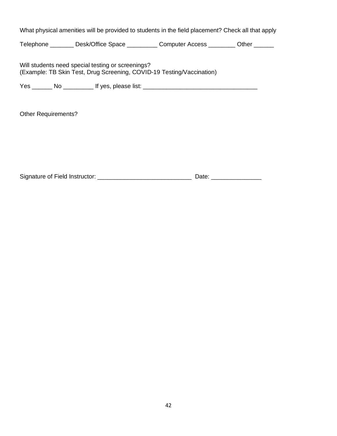What physical amenities will be provided to students in the field placement? Check all that apply

Telephone \_\_\_\_\_\_\_\_ Desk/Office Space \_\_\_\_\_\_\_\_\_ Computer Access \_\_\_\_\_\_\_\_ Other \_\_\_\_\_\_

Will students need special testing or screenings? (Example: TB Skin Test, Drug Screening, COVID-19 Testing/Vaccination)

Yes \_\_\_\_\_\_\_ No \_\_\_\_\_\_\_\_\_\_\_ If yes, please list: \_\_\_\_\_\_\_\_\_\_\_\_\_\_\_\_\_\_\_\_\_\_\_\_\_\_\_\_\_\_\_\_\_

Other Requirements?

Signature of Field Instructor: \_\_\_\_\_\_\_\_\_\_\_\_\_\_\_\_\_\_\_\_\_\_\_\_\_\_\_\_ Date: \_\_\_\_\_\_\_\_\_\_\_\_\_\_\_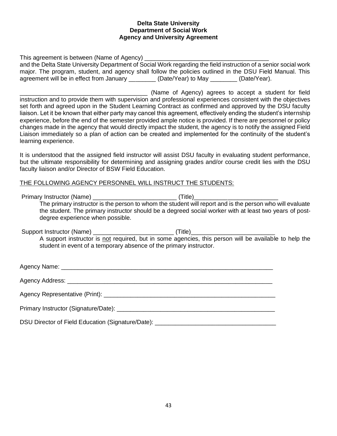#### **Delta State University Department of Social Work Agency and University Agreement**

This agreement is between (Name of Agency) \_ and the Delta State University Department of Social Work regarding the field instruction of a senior social work major. The program, student, and agency shall follow the policies outlined in the DSU Field Manual. This agreement will be in effect from January \_\_\_\_\_\_\_\_\_ (Date/Year) to May \_\_\_\_\_\_\_\_ (Date/Year).

(Name of Agency) agrees to accept a student for field instruction and to provide them with supervision and professional experiences consistent with the objectives set forth and agreed upon in the Student Learning Contract as confirmed and approved by the DSU faculty liaison. Let it be known that either party may cancel this agreement, effectively ending the student's internship experience, before the end of the semester provided ample notice is provided. If there are personnel or policy changes made in the agency that would directly impact the student, the agency is to notify the assigned Field Liaison immediately so a plan of action can be created and implemented for the continuity of the student's learning experience.

It is understood that the assigned field instructor will assist DSU faculty in evaluating student performance, but the ultimate responsibility for determining and assigning grades and/or course credit lies with the DSU faculty liaison and/or Director of BSW Field Education.

#### THE FOLLOWING AGENCY PERSONNEL WILL INSTRUCT THE STUDENTS:

| degree experience when possible.                                   | The primary instructor is the person to whom the student will report and is the person who will evaluate<br>the student. The primary instructor should be a degreed social worker with at least two years of post- |  |
|--------------------------------------------------------------------|--------------------------------------------------------------------------------------------------------------------------------------------------------------------------------------------------------------------|--|
| student in event of a temporary absence of the primary instructor. | A support instructor is not required, but in some agencies, this person will be available to help the                                                                                                              |  |
|                                                                    |                                                                                                                                                                                                                    |  |
|                                                                    |                                                                                                                                                                                                                    |  |
|                                                                    |                                                                                                                                                                                                                    |  |
|                                                                    |                                                                                                                                                                                                                    |  |
| DSU Director of Field Education (Signature/Date):                  |                                                                                                                                                                                                                    |  |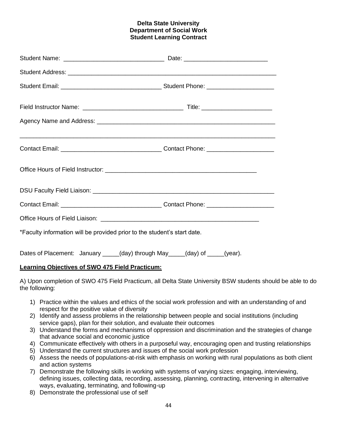#### **Delta State University Department of Social Work Student Learning Contract**

| <u> 1989 - Johann Stoff, amerikansk politiker (d. 1989)</u>                 |  |
|-----------------------------------------------------------------------------|--|
|                                                                             |  |
|                                                                             |  |
|                                                                             |  |
|                                                                             |  |
| *Faculty information will be provided prior to the student's start date.    |  |
| Dates of Placement: January _____(day) through May ____(day) of ____(year). |  |

#### **Learning Objectives of SWO 475 Field Practicum:**

A) Upon completion of SWO 475 Field Practicum, all Delta State University BSW students should be able to do the following:

- 1) Practice within the values and ethics of the social work profession and with an understanding of and respect for the positive value of diversity
- 2) Identify and assess problems in the relationship between people and social institutions (including service gaps), plan for their solution, and evaluate their outcomes
- 3) Understand the forms and mechanisms of oppression and discrimination and the strategies of change that advance social and economic justice
- 4) Communicate effectively with others in a purposeful way, encouraging open and trusting relationships
- 5) Understand the current structures and issues of the social work profession
- 6) Assess the needs of populations-at-risk with emphasis on working with rural populations as both client and action systems
- 7) Demonstrate the following skills in working with systems of varying sizes: engaging, interviewing, defining issues, collecting data, recording, assessing, planning, contracting, intervening in alternative ways, evaluating, terminating, and following-up
- 8) Demonstrate the professional use of self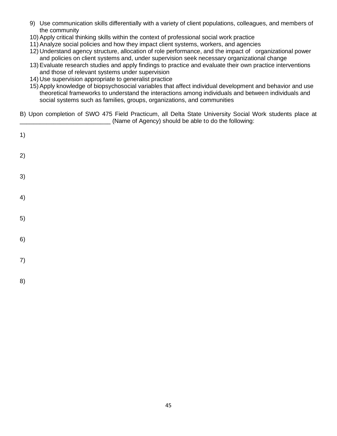- 9) Use communication skills differentially with a variety of client populations, colleagues, and members of the community
- 10) Apply critical thinking skills within the context of professional social work practice
- 11) Analyze social policies and how they impact client systems, workers, and agencies
- 12) Understand agency structure, allocation of role performance, and the impact of organizational power and policies on client systems and, under supervision seek necessary organizational change
- 13) Evaluate research studies and apply findings to practice and evaluate their own practice interventions and those of relevant systems under supervision
- 14) Use supervision appropriate to generalist practice
- 15) Apply knowledge of biopsychosocial variables that affect individual development and behavior and use theoretical frameworks to understand the interactions among individuals and between individuals and social systems such as families, groups, organizations, and communities
- B) Upon completion of SWO 475 Field Practicum, all Delta State University Social Work students place at \_\_\_\_\_\_\_\_\_\_\_\_\_\_\_\_\_\_\_\_\_\_\_\_\_\_\_ (Name of Agency) should be able to do the following:

| 1) |  |  |  |  |
|----|--|--|--|--|
| 2) |  |  |  |  |
| 3) |  |  |  |  |
| 4) |  |  |  |  |
| 5) |  |  |  |  |
| 6) |  |  |  |  |
| 7) |  |  |  |  |
| 8) |  |  |  |  |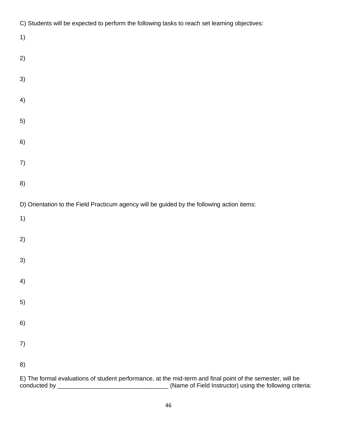| C) Students will be expected to perform the following tasks to reach set learning objectives:              |
|------------------------------------------------------------------------------------------------------------|
| 1)                                                                                                         |
| 2)                                                                                                         |
|                                                                                                            |
| 3)                                                                                                         |
| 4)                                                                                                         |
| 5)                                                                                                         |
|                                                                                                            |
| 6)                                                                                                         |
| 7)                                                                                                         |
|                                                                                                            |
| 8)                                                                                                         |
| D) Orientation to the Field Practicum agency will be guided by the following action items:                 |
| 1)                                                                                                         |
|                                                                                                            |
| 2)                                                                                                         |
| 3)                                                                                                         |
|                                                                                                            |
| 4)                                                                                                         |
| 5)                                                                                                         |
| 6)                                                                                                         |
|                                                                                                            |
| 7)                                                                                                         |
| 8)                                                                                                         |
| E) The formal evaluations of student performance, at the mid-term and final point of the semester, will be |

conducted by \_\_\_\_\_\_\_\_\_\_\_\_\_\_\_\_\_\_\_\_\_\_\_\_\_\_\_\_\_\_\_\_\_ (Name of Field Instructor) using the following criteria: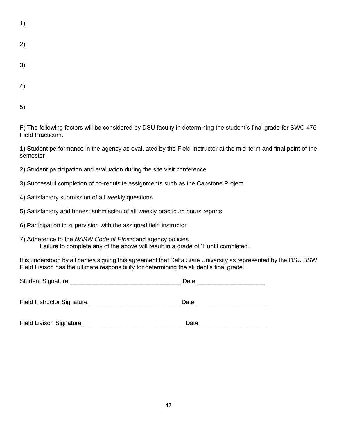| ٠ |  |
|---|--|

- 2)
- 3)
- 4)

5)

F) The following factors will be considered by DSU faculty in determining the student's final grade for SWO 475 Field Practicum:

1) Student performance in the agency as evaluated by the Field Instructor at the mid-term and final point of the semester

- 2) Student participation and evaluation during the site visit conference
- 3) Successful completion of co-requisite assignments such as the Capstone Project
- 4) Satisfactory submission of all weekly questions
- 5) Satisfactory and honest submission of all weekly practicum hours reports
- 6) Participation in supervision with the assigned field instructor
- 7) Adherence to the *NASW Code of Ethics* and agency policies Failure to complete any of the above will result in a grade of 'I' until completed.

It is understood by all parties signing this agreement that Delta State University as represented by the DSU BSW Field Liaison has the ultimate responsibility for determining the student's final grade.

| Student Signature _               | Date |
|-----------------------------------|------|
| <b>Field Instructor Signature</b> | Date |

Field Liaison Signature \_\_\_\_\_\_\_\_\_\_\_\_\_\_\_\_\_\_\_\_\_\_\_\_\_\_\_\_\_\_ Date \_\_\_\_\_\_\_\_\_\_\_\_\_\_\_\_\_\_\_\_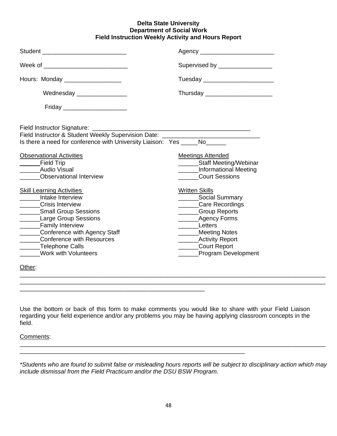#### **Delta State University Department of Social Work Field Instruction Weekly Activity and Hours Report**

| Student _________________________________                                                                                                                                                                                                                                                               | Agency __________________________                                                                                                                                                                               |
|---------------------------------------------------------------------------------------------------------------------------------------------------------------------------------------------------------------------------------------------------------------------------------------------------------|-----------------------------------------------------------------------------------------------------------------------------------------------------------------------------------------------------------------|
| Week of _______________________________                                                                                                                                                                                                                                                                 | Supervised by _________________                                                                                                                                                                                 |
| Hours: Monday _________________                                                                                                                                                                                                                                                                         | Tuesday __________________________                                                                                                                                                                              |
| Wednesday ________________                                                                                                                                                                                                                                                                              | Thursday _______________________                                                                                                                                                                                |
| Friday _____________________                                                                                                                                                                                                                                                                            |                                                                                                                                                                                                                 |
| Field Instructor & Student Weekly Supervision Date: ____________________________<br>Is there a need for conference with University Liaison: Yes _____No______                                                                                                                                           |                                                                                                                                                                                                                 |
|                                                                                                                                                                                                                                                                                                         |                                                                                                                                                                                                                 |
| <b>Observational Activities</b><br><b>Field Trip</b><br><b>Audio Visual</b><br><b>Observational Interview</b>                                                                                                                                                                                           | <b>Meetings Attended</b><br>________Staff Meeting/Webinar<br>Informational Meeting<br><b>Court Sessions</b>                                                                                                     |
| <b>Skill Learning Activities</b><br>_____Intake Interview<br>______Crisis Interview<br>_______Small Group Sessions<br>_______Large Group Sessions<br>_______Family Interview<br>_______Conference with Agency Staff<br>______Conference with Resources<br>______Telephone Calls<br>Work with Volunteers | <b>Written Skills</b><br>Social Summary<br>Care Recordings<br><b>Croup Reports</b><br>_________Agency Forms<br>Letters<br>Meeting Notes<br>________Activity Report<br>______Court Report<br>Program Development |
| Other:                                                                                                                                                                                                                                                                                                  |                                                                                                                                                                                                                 |

Use the bottom or back of this form to make comments you would like to share with your Field Liaison regarding your field experience and/or any problems you may be having applying classroom concepts in the field.

\_\_\_\_\_\_\_\_\_\_\_\_\_\_\_\_\_\_\_\_\_\_\_\_\_\_\_\_\_\_\_\_\_\_\_\_\_\_\_\_\_\_\_\_\_\_\_\_\_\_\_\_\_\_\_

 $\_$  ,  $\_$  ,  $\_$  ,  $\_$  ,  $\_$  ,  $\_$  ,  $\_$  ,  $\_$  ,  $\_$  ,  $\_$  ,  $\_$  ,  $\_$  ,  $\_$  ,  $\_$  ,  $\_$  ,  $\_$  ,  $\_$  ,  $\_$  ,  $\_$  ,  $\_$  ,  $\_$  ,  $\_$  ,  $\_$  ,  $\_$  ,  $\_$  ,  $\_$  ,  $\_$  ,  $\_$  ,  $\_$  ,  $\_$  ,  $\_$  ,  $\_$  ,  $\_$  ,  $\_$  ,  $\_$  ,  $\_$  ,  $\_$  ,

Comments:

*\*Students who are found to submit false or misleading hours reports will be subject to disciplinary action which may include dismissal from the Field Practicum and/or the DSU BSW Program.* 

 $\_$  ,  $\_$  ,  $\_$  ,  $\_$  ,  $\_$  ,  $\_$  ,  $\_$  ,  $\_$  ,  $\_$  ,  $\_$  ,  $\_$  ,  $\_$  ,  $\_$  ,  $\_$  ,  $\_$  ,  $\_$  ,  $\_$  ,  $\_$  ,  $\_$  ,  $\_$  ,  $\_$  ,  $\_$  ,  $\_$  ,  $\_$  ,  $\_$  ,  $\_$  ,  $\_$  ,  $\_$  ,  $\_$  ,  $\_$  ,  $\_$  ,  $\_$  ,  $\_$  ,  $\_$  ,  $\_$  ,  $\_$  ,  $\_$  ,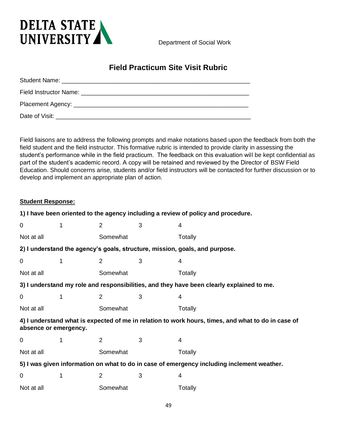

Department of Social Work

# **Field Practicum Site Visit Rubric**

| Date of Visit: |  |  |
|----------------|--|--|

Field liaisons are to address the following prompts and make notations based upon the feedback from both the field student and the field instructor. This formative rubric is intended to provide clarity in assessing the student's performance while in the field practicum. The feedback on this evaluation will be kept confidential as part of the student's academic record. A copy will be retained and reviewed by the Director of BSW Field Education. Should concerns arise, students and/or field instructors will be contacted for further discussion or to develop and implement an appropriate plan of action.

#### **Student Response:**

|                       |   |                |   | 1) I have been oriented to the agency including a review of policy and procedure.                  |
|-----------------------|---|----------------|---|----------------------------------------------------------------------------------------------------|
| $\Omega$              | 1 | $\overline{2}$ | 3 | 4                                                                                                  |
| Not at all            |   | Somewhat       |   | Totally                                                                                            |
|                       |   |                |   | 2) I understand the agency's goals, structure, mission, goals, and purpose.                        |
| $\Omega$              | 1 | 2              | 3 | 4                                                                                                  |
| Not at all            |   | Somewhat       |   | Totally                                                                                            |
|                       |   |                |   | 3) I understand my role and responsibilities, and they have been clearly explained to me.          |
| $\mathbf 0$           | 1 | $\overline{2}$ | 3 | 4                                                                                                  |
| Not at all            |   | Somewhat       |   | Totally                                                                                            |
| absence or emergency. |   |                |   | 4) I understand what is expected of me in relation to work hours, times, and what to do in case of |
| 0                     | 1 | 2              | 3 | 4                                                                                                  |
| Not at all            |   | Somewhat       |   | Totally                                                                                            |
|                       |   |                |   | 5) I was given information on what to do in case of emergency including inclement weather.         |
| $\mathbf 0$           | 1 | $\overline{2}$ | 3 | 4                                                                                                  |
| Not at all            |   | Somewhat       |   | Totally                                                                                            |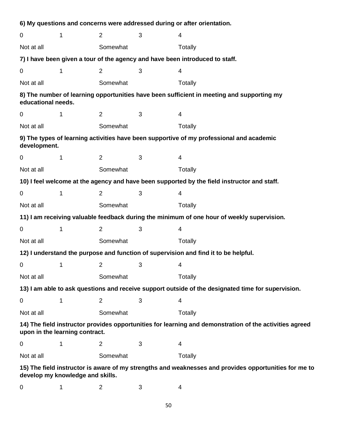|                                                                                                    |                                  |                |              | 6) My questions and concerns were addressed during or after orientation.                                |  |
|----------------------------------------------------------------------------------------------------|----------------------------------|----------------|--------------|---------------------------------------------------------------------------------------------------------|--|
| 0                                                                                                  | 1                                | 2              | 3            | 4                                                                                                       |  |
| Not at all                                                                                         |                                  | Somewhat       |              | Totally                                                                                                 |  |
|                                                                                                    |                                  |                |              | 7) I have been given a tour of the agency and have been introduced to staff.                            |  |
| 0                                                                                                  | 1                                | 2              | 3            | $\overline{4}$                                                                                          |  |
| Not at all                                                                                         |                                  | Somewhat       |              | Totally                                                                                                 |  |
| educational needs.                                                                                 |                                  |                |              | 8) The number of learning opportunities have been sufficient in meeting and supporting my               |  |
| 0                                                                                                  | 1                                | 2              | 3            | 4                                                                                                       |  |
| Not at all                                                                                         |                                  | Somewhat       |              | Totally                                                                                                 |  |
| development.                                                                                       |                                  |                |              | 9) The types of learning activities have been supportive of my professional and academic                |  |
| 0                                                                                                  | 1                                | $\overline{2}$ | 3            | 4                                                                                                       |  |
| Not at all                                                                                         |                                  | Somewhat       |              | Totally                                                                                                 |  |
|                                                                                                    |                                  |                |              | 10) I feel welcome at the agency and have been supported by the field instructor and staff.             |  |
| 0                                                                                                  | 1                                | $\overline{2}$ | 3            | $\overline{4}$                                                                                          |  |
| Not at all                                                                                         |                                  | Somewhat       |              | Totally                                                                                                 |  |
|                                                                                                    |                                  |                |              | 11) I am receiving valuable feedback during the minimum of one hour of weekly supervision.              |  |
| 0                                                                                                  | 1                                | $\overline{2}$ | 3            | $\overline{4}$                                                                                          |  |
| Not at all                                                                                         |                                  | Somewhat       |              | Totally                                                                                                 |  |
|                                                                                                    |                                  |                |              | 12) I understand the purpose and function of supervision and find it to be helpful.                     |  |
| $0 \qquad \qquad$                                                                                  | $\mathbf 1$                      | 2              | $\mathbf{3}$ | 4                                                                                                       |  |
| Not at all                                                                                         |                                  | Somewhat       |              | Totally                                                                                                 |  |
| 13) I am able to ask questions and receive support outside of the designated time for supervision. |                                  |                |              |                                                                                                         |  |
| 0                                                                                                  | 1                                | $\overline{2}$ | 3            | 4                                                                                                       |  |
| Not at all                                                                                         |                                  | Somewhat       |              | Totally                                                                                                 |  |
|                                                                                                    | upon in the learning contract.   |                |              | 14) The field instructor provides opportunities for learning and demonstration of the activities agreed |  |
| 0                                                                                                  | 1                                | $\overline{2}$ | 3            | 4                                                                                                       |  |
| Not at all                                                                                         |                                  | Somewhat       |              | Totally                                                                                                 |  |
|                                                                                                    | develop my knowledge and skills. |                |              | 15) The field instructor is aware of my strengths and weaknesses and provides opportunities for me to   |  |

0 1 2 3 4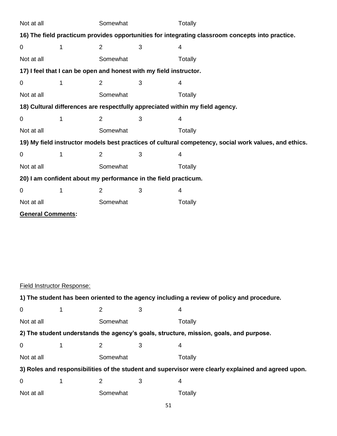| Not at all                                                                                       |             | Somewhat       |                                                                    | Totally                                                                                               |  |
|--------------------------------------------------------------------------------------------------|-------------|----------------|--------------------------------------------------------------------|-------------------------------------------------------------------------------------------------------|--|
| 16) The field practicum provides opportunities for integrating classroom concepts into practice. |             |                |                                                                    |                                                                                                       |  |
| $\pmb{0}$                                                                                        | $\mathbf 1$ | $\overline{2}$ | 3                                                                  | 4                                                                                                     |  |
| Not at all                                                                                       |             | Somewhat       |                                                                    | Totally                                                                                               |  |
|                                                                                                  |             |                | 17) I feel that I can be open and honest with my field instructor. |                                                                                                       |  |
| $\boldsymbol{0}$                                                                                 | 1           | 2              | 3                                                                  | 4                                                                                                     |  |
| Not at all                                                                                       |             | Somewhat       |                                                                    | <b>Totally</b>                                                                                        |  |
|                                                                                                  |             |                |                                                                    | 18) Cultural differences are respectfully appreciated within my field agency.                         |  |
| 0                                                                                                | 1           | $\overline{2}$ | 3                                                                  | 4                                                                                                     |  |
| Not at all                                                                                       |             | Somewhat       |                                                                    | Totally                                                                                               |  |
|                                                                                                  |             |                |                                                                    | 19) My field instructor models best practices of cultural competency, social work values, and ethics. |  |
| 0                                                                                                | 1           | $\overline{2}$ | 3                                                                  | 4                                                                                                     |  |
| Not at all                                                                                       |             | Somewhat       |                                                                    | Totally                                                                                               |  |
|                                                                                                  |             |                | 20) I am confident about my performance in the field practicum.    |                                                                                                       |  |
| 0                                                                                                | 1           | $\overline{2}$ | 3                                                                  | 4                                                                                                     |  |
| Not at all                                                                                       |             | Somewhat       |                                                                    | Totally                                                                                               |  |
| <b>General Comments:</b>                                                                         |             |                |                                                                    |                                                                                                       |  |
|                                                                                                  |             |                |                                                                    |                                                                                                       |  |
|                                                                                                  |             |                |                                                                    |                                                                                                       |  |
|                                                                                                  |             |                |                                                                    |                                                                                                       |  |
|                                                                                                  |             |                |                                                                    |                                                                                                       |  |
|                                                                                                  |             |                |                                                                    |                                                                                                       |  |
| Field Instructor Response:                                                                       |             |                |                                                                    |                                                                                                       |  |
|                                                                                                  |             |                |                                                                    | 1) The student has been oriented to the agency including a review of policy and procedure.            |  |
| 0                                                                                                | 1           | 2              | 3                                                                  | $\overline{4}$                                                                                        |  |
| Not at all                                                                                       |             | Somewhat       |                                                                    | Totally                                                                                               |  |
|                                                                                                  |             |                |                                                                    | 2) The student understands the agency's goals, structure, mission, goals, and purpose.                |  |
| 0                                                                                                | 1           | 2              | 3                                                                  | 4                                                                                                     |  |
| Not at all                                                                                       |             | Somewhat       |                                                                    | Totally                                                                                               |  |
|                                                                                                  |             |                |                                                                    | 3) Roles and responsibilities of the student and supervisor were clearly explained and agreed upon.   |  |
| 0                                                                                                | 1           | 2              | 3                                                                  | 4                                                                                                     |  |
| Not at all                                                                                       |             | Somewhat       |                                                                    | Totally                                                                                               |  |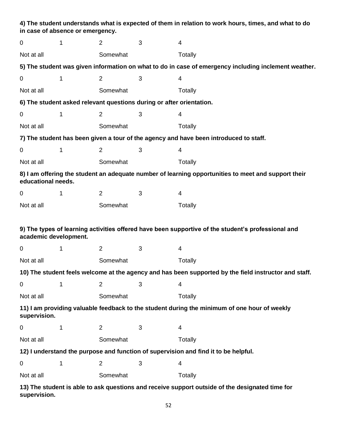|                       | in case of absence or emergency. |                |                                                                      | 4) The student understands what is expected of them in relation to work hours, times, and what to do  |
|-----------------------|----------------------------------|----------------|----------------------------------------------------------------------|-------------------------------------------------------------------------------------------------------|
| $\mathbf 0$           | 1                                | $\overline{2}$ | 3                                                                    | $\overline{4}$                                                                                        |
| Not at all            |                                  | Somewhat       |                                                                      | Totally                                                                                               |
|                       |                                  |                |                                                                      | 5) The student was given information on what to do in case of emergency including inclement weather.  |
| $\mathbf 0$           | 1                                | $\overline{2}$ | 3                                                                    | 4                                                                                                     |
| Not at all            |                                  | Somewhat       |                                                                      | Totally                                                                                               |
|                       |                                  |                | 6) The student asked relevant questions during or after orientation. |                                                                                                       |
| $\mathbf 0$           | 1                                | $\overline{2}$ | 3                                                                    | 4                                                                                                     |
| Not at all            |                                  | Somewhat       |                                                                      | Totally                                                                                               |
|                       |                                  |                |                                                                      | 7) The student has been given a tour of the agency and have been introduced to staff.                 |
| $\mathbf 0$           | $\mathbf 1$                      | $\overline{2}$ | 3                                                                    | 4                                                                                                     |
| Not at all            |                                  | Somewhat       |                                                                      | Totally                                                                                               |
| educational needs.    |                                  |                |                                                                      | 8) I am offering the student an adequate number of learning opportunities to meet and support their   |
| $\mathbf 0$           | 1                                | $\overline{2}$ | 3                                                                    | 4                                                                                                     |
| Not at all            |                                  | Somewhat       |                                                                      | Totally                                                                                               |
| academic development. |                                  |                |                                                                      | 9) The types of learning activities offered have been supportive of the student's professional and    |
| $\mathbf 0$           | 1                                | $\overline{2}$ | 3                                                                    | $\overline{4}$                                                                                        |
| Not at all            |                                  | Somewhat       |                                                                      | Totally                                                                                               |
|                       |                                  |                |                                                                      | 10) The student feels welcome at the agency and has been supported by the field instructor and staff. |
| $\pmb{0}$             | 1                                | $\overline{2}$ | 3                                                                    | $\overline{4}$                                                                                        |
| Not at all            |                                  | Somewhat       |                                                                      | Totally                                                                                               |
| supervision.          |                                  |                |                                                                      | 11) I am providing valuable feedback to the student during the minimum of one hour of weekly          |
| $\boldsymbol{0}$      | 1                                | $\overline{c}$ | 3                                                                    | 4                                                                                                     |
| Not at all            |                                  | Somewhat       |                                                                      | Totally                                                                                               |
|                       |                                  |                |                                                                      | 12) I understand the purpose and function of supervision and find it to be helpful.                   |
| $\mathbf 0$           | 1                                | $\overline{2}$ | 3                                                                    | $\overline{4}$                                                                                        |
| Not at all            |                                  | Somewhat       |                                                                      | Totally                                                                                               |

**13) The student is able to ask questions and receive support outside of the designated time for supervision.**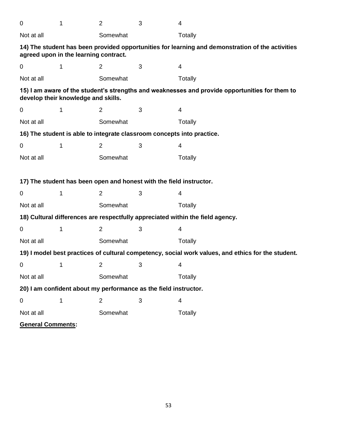| $\overline{0}$                                                                                     | 1  | $\overline{2}$ | 3                                                                   | 4                                                                                                |
|----------------------------------------------------------------------------------------------------|----|----------------|---------------------------------------------------------------------|--------------------------------------------------------------------------------------------------|
| Not at all                                                                                         |    | Somewhat       |                                                                     | Totally                                                                                          |
| agreed upon in the learning contract.                                                              |    |                |                                                                     | 14) The student has been provided opportunities for learning and demonstration of the activities |
| 0                                                                                                  | 1  | $\overline{2}$ | 3                                                                   | 4                                                                                                |
| Not at all                                                                                         |    | Somewhat       |                                                                     | Totally                                                                                          |
| develop their knowledge and skills.                                                                |    |                |                                                                     | 15) I am aware of the student's strengths and weaknesses and provide opportunities for them to   |
| 0                                                                                                  | 1  | $\overline{2}$ | 3                                                                   | 4                                                                                                |
| Not at all                                                                                         |    | Somewhat       |                                                                     | Totally                                                                                          |
|                                                                                                    |    |                |                                                                     | 16) The student is able to integrate classroom concepts into practice.                           |
| 0                                                                                                  | 1  | $\overline{2}$ | 3                                                                   | 4                                                                                                |
| Not at all                                                                                         |    | Somewhat       |                                                                     | <b>Totally</b>                                                                                   |
|                                                                                                    |    |                |                                                                     |                                                                                                  |
|                                                                                                    |    |                | 17) The student has been open and honest with the field instructor. |                                                                                                  |
| 0                                                                                                  | 1  | $\overline{2}$ | 3                                                                   | 4                                                                                                |
| Not at all                                                                                         |    | Somewhat       |                                                                     | Totally                                                                                          |
|                                                                                                    |    |                |                                                                     | 18) Cultural differences are respectfully appreciated within the field agency.                   |
| 0                                                                                                  | 1  | $\overline{2}$ | 3                                                                   | 4                                                                                                |
| Not at all                                                                                         |    | Somewhat       |                                                                     | <b>Totally</b>                                                                                   |
| 19) I model best practices of cultural competency, social work values, and ethics for the student. |    |                |                                                                     |                                                                                                  |
| $\mathbf{O}$                                                                                       | 1. | 2              | 3                                                                   | 4                                                                                                |
| Not at all                                                                                         |    | Somewhat       |                                                                     | Totally                                                                                          |
|                                                                                                    |    |                | 20) I am confident about my performance as the field instructor.    |                                                                                                  |
| $\pmb{0}$                                                                                          | 1  | $\overline{2}$ | 3                                                                   | 4                                                                                                |
| Not at all                                                                                         |    | Somewhat       |                                                                     | Totally                                                                                          |
| <b>General Comments:</b>                                                                           |    |                |                                                                     |                                                                                                  |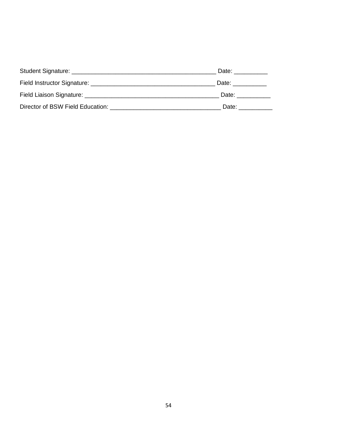|                                                   | Date:                                                                                                                                                                                                                          |
|---------------------------------------------------|--------------------------------------------------------------------------------------------------------------------------------------------------------------------------------------------------------------------------------|
|                                                   | Date:                                                                                                                                                                                                                          |
|                                                   | Date: the contract of the contract of the contract of the contract of the contract of the contract of the contract of the contract of the contract of the contract of the contract of the contract of the contract of the cont |
| Director of BSW Field Education: ________________ | Date:                                                                                                                                                                                                                          |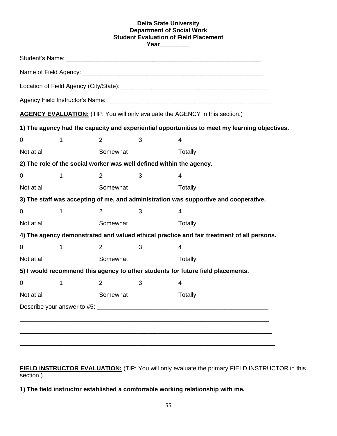#### **Delta State University Department of Social Work Student Evaluation of Field Placement Year\_\_\_\_\_\_\_\_\_**

|             |   |                |   | <b>AGENCY EVALUATION:</b> (TIP: You will only evaluate the AGENCY in this section.)           |  |
|-------------|---|----------------|---|-----------------------------------------------------------------------------------------------|--|
|             |   |                |   | 1) The agency had the capacity and experiential opportunities to meet my learning objectives. |  |
| $\mathbf 0$ | 1 | 2              | 3 | 4                                                                                             |  |
| Not at all  |   | Somewhat       |   | Totally                                                                                       |  |
|             |   |                |   | 2) The role of the social worker was well defined within the agency.                          |  |
| 0           | 1 | $\overline{2}$ | 3 | 4                                                                                             |  |
| Not at all  |   | Somewhat       |   | Totally                                                                                       |  |
|             |   |                |   | 3) The staff was accepting of me, and administration was supportive and cooperative.          |  |
| $\mathbf 0$ | 1 | $\overline{2}$ | 3 | 4                                                                                             |  |
| Not at all  |   | Somewhat       |   | Totally                                                                                       |  |
|             |   |                |   | 4) The agency demonstrated and valued ethical practice and fair treatment of all persons.     |  |
| 0           | 1 | 2              | 3 | 4                                                                                             |  |
| Not at all  |   | Somewhat       |   | Totally                                                                                       |  |
|             |   |                |   | 5) I would recommend this agency to other students for future field placements.               |  |
| 0           | 1 | $\overline{2}$ | 3 | 4                                                                                             |  |
| Not at all  |   | Somewhat       |   | <b>Totally</b>                                                                                |  |
|             |   |                |   |                                                                                               |  |

**FIELD INSTRUCTOR EVALUATION:** (TIP: You will only evaluate the primary FIELD INSTRUCTOR in this section.)

**1) The field instructor established a comfortable working relationship with me.**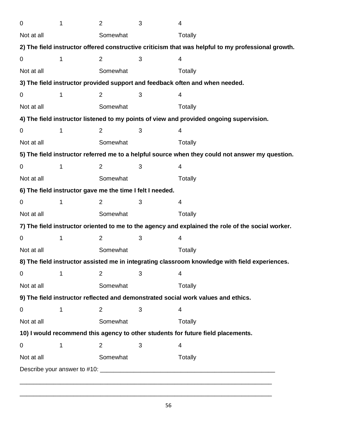| $\mathbf 0$ | 1 | $\overline{2}$                                            | 3 | $\overline{4}$                                                                                     |
|-------------|---|-----------------------------------------------------------|---|----------------------------------------------------------------------------------------------------|
| Not at all  |   | Somewhat                                                  |   | Totally                                                                                            |
|             |   |                                                           |   | 2) The field instructor offered constructive criticism that was helpful to my professional growth. |
| $\mathbf 0$ | 1 | $\overline{2}$                                            | 3 | 4                                                                                                  |
| Not at all  |   | Somewhat                                                  |   | Totally                                                                                            |
|             |   |                                                           |   | 3) The field instructor provided support and feedback often and when needed.                       |
| 0           | 1 | $\overline{2}$                                            | 3 | 4                                                                                                  |
| Not at all  |   | Somewhat                                                  |   | Totally                                                                                            |
|             |   |                                                           |   | 4) The field instructor listened to my points of view and provided ongoing supervision.            |
| 0           | 1 | $\overline{2}$                                            | 3 | 4                                                                                                  |
| Not at all  |   | Somewhat                                                  |   | <b>Totally</b>                                                                                     |
|             |   |                                                           |   | 5) The field instructor referred me to a helpful source when they could not answer my question.    |
| $\mathbf 0$ | 1 | $\overline{2}$                                            | 3 | 4                                                                                                  |
| Not at all  |   | Somewhat                                                  |   | Totally                                                                                            |
|             |   | 6) The field instructor gave me the time I felt I needed. |   |                                                                                                    |
| $\mathbf 0$ | 1 | $\overline{2}$                                            | 3 | 4                                                                                                  |
| Not at all  |   | Somewhat                                                  |   | <b>Totally</b>                                                                                     |
|             |   |                                                           |   | 7) The field instructor oriented to me to the agency and explained the role of the social worker.  |
| $\mathbf 0$ | 1 | $\overline{2}$                                            | 3 | 4                                                                                                  |
| Not at all  |   | Somewhat                                                  |   | Totally                                                                                            |
|             |   |                                                           |   | 8) The field instructor assisted me in integrating classroom knowledge with field experiences.     |
| 0           | 1 | $\overline{2}$                                            | 3 | 4                                                                                                  |
| Not at all  |   | Somewhat                                                  |   | <b>Totally</b>                                                                                     |
|             |   |                                                           |   | 9) The field instructor reflected and demonstrated social work values and ethics.                  |
| $\mathbf 0$ | 1 | 2                                                         | 3 | $\overline{4}$                                                                                     |
| Not at all  |   | Somewhat                                                  |   | Totally                                                                                            |
|             |   |                                                           |   | 10) I would recommend this agency to other students for future field placements.                   |
| 0           | 1 | $\overline{2}$                                            | 3 | 4                                                                                                  |
| Not at all  |   | Somewhat                                                  |   | Totally                                                                                            |
|             |   |                                                           |   |                                                                                                    |

\_\_\_\_\_\_\_\_\_\_\_\_\_\_\_\_\_\_\_\_\_\_\_\_\_\_\_\_\_\_\_\_\_\_\_\_\_\_\_\_\_\_\_\_\_\_\_\_\_\_\_\_\_\_\_\_\_\_\_\_\_\_\_\_\_\_\_\_\_\_\_\_\_\_\_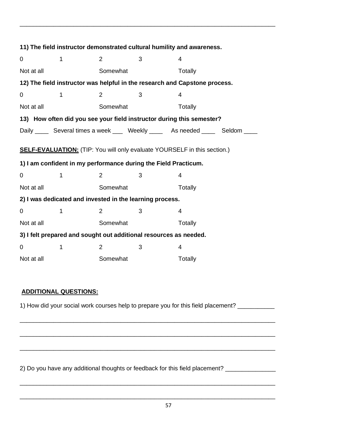| 11) The field instructor demonstrated cultural humility and awareness.                                                                             |   |                |   |                                                                                    |  |  |
|----------------------------------------------------------------------------------------------------------------------------------------------------|---|----------------|---|------------------------------------------------------------------------------------|--|--|
| 0                                                                                                                                                  | 1 | 2              | 3 | 4                                                                                  |  |  |
| Not at all                                                                                                                                         |   | Somewhat       |   | Totally                                                                            |  |  |
| 12) The field instructor was helpful in the research and Capstone process.                                                                         |   |                |   |                                                                                    |  |  |
| 0                                                                                                                                                  | 1 | $\overline{2}$ | 3 | 4                                                                                  |  |  |
| Not at all                                                                                                                                         |   | Somewhat       |   | Totally                                                                            |  |  |
| 13) How often did you see your field instructor during this semester?                                                                              |   |                |   |                                                                                    |  |  |
|                                                                                                                                                    |   |                |   | Daily ______ Several times a week _____ Weekly ______ As needed ______ Seldom ____ |  |  |
| <b>SELF-EVALUATION:</b> (TIP: You will only evaluate YOURSELF in this section.)<br>1) I am confident in my performance during the Field Practicum. |   |                |   |                                                                                    |  |  |
| 0                                                                                                                                                  | 1 | 2              | 3 | 4                                                                                  |  |  |
| Not at all                                                                                                                                         |   | Somewhat       |   | Totally                                                                            |  |  |
| 2) I was dedicated and invested in the learning process.                                                                                           |   |                |   |                                                                                    |  |  |
| 0                                                                                                                                                  | 1 | 2              | 3 | 4                                                                                  |  |  |
| Not at all                                                                                                                                         |   | Somewhat       |   | Totally                                                                            |  |  |
| 3) I felt prepared and sought out additional resources as needed.                                                                                  |   |                |   |                                                                                    |  |  |
| 0                                                                                                                                                  | 1 | 2              | 3 | 4                                                                                  |  |  |
|                                                                                                                                                    |   |                |   |                                                                                    |  |  |

\_\_\_\_\_\_\_\_\_\_\_\_\_\_\_\_\_\_\_\_\_\_\_\_\_\_\_\_\_\_\_\_\_\_\_\_\_\_\_\_\_\_\_\_\_\_\_\_\_\_\_\_\_\_\_\_\_\_\_\_\_\_\_\_\_\_\_\_\_\_\_\_\_\_\_\_

# **ADDITIONAL QUESTIONS:**

1) How did your social work courses help to prepare you for this field placement? \_\_\_\_\_\_\_\_\_\_

\_\_\_\_\_\_\_\_\_\_\_\_\_\_\_\_\_\_\_\_\_\_\_\_\_\_\_\_\_\_\_\_\_\_\_\_\_\_\_\_\_\_\_\_\_\_\_\_\_\_\_\_\_\_\_\_\_\_\_\_\_\_\_\_\_\_\_\_\_\_\_\_\_\_\_\_

\_\_\_\_\_\_\_\_\_\_\_\_\_\_\_\_\_\_\_\_\_\_\_\_\_\_\_\_\_\_\_\_\_\_\_\_\_\_\_\_\_\_\_\_\_\_\_\_\_\_\_\_\_\_\_\_\_\_\_\_\_\_\_\_\_\_\_\_\_\_\_\_\_\_\_\_

\_\_\_\_\_\_\_\_\_\_\_\_\_\_\_\_\_\_\_\_\_\_\_\_\_\_\_\_\_\_\_\_\_\_\_\_\_\_\_\_\_\_\_\_\_\_\_\_\_\_\_\_\_\_\_\_\_\_\_\_\_\_\_\_\_\_\_\_\_\_\_\_\_\_\_\_

\_\_\_\_\_\_\_\_\_\_\_\_\_\_\_\_\_\_\_\_\_\_\_\_\_\_\_\_\_\_\_\_\_\_\_\_\_\_\_\_\_\_\_\_\_\_\_\_\_\_\_\_\_\_\_\_\_\_\_\_\_\_\_\_\_\_\_\_\_\_\_\_\_\_\_\_

\_\_\_\_\_\_\_\_\_\_\_\_\_\_\_\_\_\_\_\_\_\_\_\_\_\_\_\_\_\_\_\_\_\_\_\_\_\_\_\_\_\_\_\_\_\_\_\_\_\_\_\_\_\_\_\_\_\_\_\_\_\_\_\_\_\_\_\_\_\_\_\_\_\_\_\_

2) Do you have any additional thoughts or feedback for this field placement? \_\_\_\_\_\_\_\_\_\_\_\_\_\_\_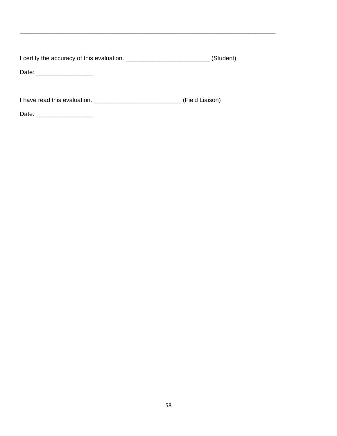I certify the accuracy of this evaluation. \_\_\_\_\_\_\_\_\_\_\_\_\_\_\_\_\_\_\_\_\_\_\_\_\_\_\_\_\_\_(Student)

\_\_\_\_\_\_\_\_\_\_\_\_\_\_\_\_\_\_\_\_\_\_\_\_\_\_\_\_\_\_\_\_\_\_\_\_\_\_\_\_\_\_\_\_\_\_\_\_\_\_\_\_\_\_\_\_\_\_\_\_\_\_\_\_\_\_\_\_\_\_\_\_\_\_\_\_

Date: \_\_\_\_\_\_\_\_\_\_\_\_\_\_\_\_\_

I have read this evaluation. \_\_\_\_\_\_\_\_\_\_\_\_\_\_\_\_\_\_\_\_\_\_\_\_\_\_\_\_\_\_\_\_\_\_ (Field Liaison)

Date: \_\_\_\_\_\_\_\_\_\_\_\_\_\_\_\_\_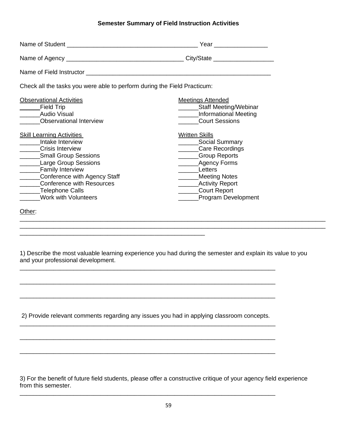#### **Semester Summary of Field Instruction Activities**

|                                                                                                                                                                                                                                                                                                    | Year _________________                                                                                                                                                                                            |
|----------------------------------------------------------------------------------------------------------------------------------------------------------------------------------------------------------------------------------------------------------------------------------------------------|-------------------------------------------------------------------------------------------------------------------------------------------------------------------------------------------------------------------|
|                                                                                                                                                                                                                                                                                                    |                                                                                                                                                                                                                   |
|                                                                                                                                                                                                                                                                                                    |                                                                                                                                                                                                                   |
| Check all the tasks you were able to perform during the Field Practicum:                                                                                                                                                                                                                           |                                                                                                                                                                                                                   |
| <b>Observational Activities</b><br>Field Trip<br>Audio Visual<br><b>Observational Interview</b>                                                                                                                                                                                                    | <b>Meetings Attended</b><br>_______Staff Meeting/Webinar<br>Informational Meeting<br><b>Court Sessions</b>                                                                                                        |
| <b>Skill Learning Activities</b><br>Intake Interview<br><b>Crisis Interview</b><br>_______Small Group Sessions<br><b>Large Group Sessions</b><br>_____Family Interview<br>______Conference with Agency Staff<br><b>Conference with Resources</b><br>Telephone Calls<br><b>Work with Volunteers</b> | <b>Written Skills</b><br>Social Summary<br>Care Recordings<br>_____Group Reports<br>________Agency Forms<br>Letters<br>Meeting Notes<br><b>Activity Report</b><br>_______Court Report<br>_____Program Development |
| Other:                                                                                                                                                                                                                                                                                             |                                                                                                                                                                                                                   |

1) Describe the most valuable learning experience you had during the semester and explain its value to you and your professional development.

 $\_$  ,  $\_$  ,  $\_$  ,  $\_$  ,  $\_$  ,  $\_$  ,  $\_$  ,  $\_$  ,  $\_$  ,  $\_$  ,  $\_$  ,  $\_$  ,  $\_$  ,  $\_$  ,  $\_$  ,  $\_$  ,  $\_$  ,  $\_$  ,  $\_$  ,  $\_$  ,  $\_$  ,  $\_$  ,  $\_$  ,  $\_$  ,  $\_$  ,  $\_$  ,  $\_$  ,  $\_$  ,  $\_$  ,  $\_$  ,  $\_$  ,  $\_$  ,  $\_$  ,  $\_$  ,  $\_$  ,  $\_$  ,  $\_$  ,

2) Provide relevant comments regarding any issues you had in applying classroom concepts. \_\_\_\_\_\_\_\_\_\_\_\_\_\_\_\_\_\_\_\_\_\_\_\_\_\_\_\_\_\_\_\_\_\_\_\_\_\_\_\_\_\_\_\_\_\_\_\_\_\_\_\_\_\_\_\_\_\_\_\_\_\_\_\_\_\_\_\_\_\_\_\_\_\_\_\_

\_\_\_\_\_\_\_\_\_\_\_\_\_\_\_\_\_\_\_\_\_\_\_\_\_\_\_\_\_\_\_\_\_\_\_\_\_\_\_\_\_\_\_\_\_\_\_\_\_\_\_\_\_\_\_\_\_\_\_\_\_\_\_\_\_\_\_\_\_\_\_\_\_\_\_\_

\_\_\_\_\_\_\_\_\_\_\_\_\_\_\_\_\_\_\_\_\_\_\_\_\_\_\_\_\_\_\_\_\_\_\_\_\_\_\_\_\_\_\_\_\_\_\_\_\_\_\_\_\_\_\_\_\_\_\_\_\_\_\_\_\_\_\_\_\_\_\_\_\_\_\_\_

\_\_\_\_\_\_\_\_\_\_\_\_\_\_\_\_\_\_\_\_\_\_\_\_\_\_\_\_\_\_\_\_\_\_\_\_\_\_\_\_\_\_\_\_\_\_\_\_\_\_\_\_\_\_\_\_\_\_\_\_\_\_\_\_\_\_\_\_\_\_\_\_\_\_\_\_

\_\_\_\_\_\_\_\_\_\_\_\_\_\_\_\_\_\_\_\_\_\_\_\_\_\_\_\_\_\_\_\_\_\_\_\_\_\_\_\_\_\_\_\_\_\_\_\_\_\_\_\_\_\_\_\_\_\_\_\_\_\_\_\_\_\_\_\_\_\_\_\_\_\_\_\_

\_\_\_\_\_\_\_\_\_\_\_\_\_\_\_\_\_\_\_\_\_\_\_\_\_\_\_\_\_\_\_\_\_\_\_\_\_\_\_\_\_\_\_\_\_\_\_\_\_\_\_\_\_\_\_\_\_\_\_\_\_\_\_\_\_\_\_\_\_\_\_\_\_\_\_\_

\_\_\_\_\_\_\_\_\_\_\_\_\_\_\_\_\_\_\_\_\_\_\_\_\_\_\_\_\_\_\_\_\_\_\_\_\_\_\_\_\_\_\_\_\_\_\_\_\_\_\_\_\_\_\_\_\_\_\_\_\_\_\_\_\_\_\_\_\_\_\_\_\_\_\_\_

\_\_\_\_\_\_\_\_\_\_\_\_\_\_\_\_\_\_\_\_\_\_\_\_\_\_\_\_\_\_\_\_\_\_\_\_\_\_\_\_\_\_\_\_\_\_\_\_\_\_\_\_\_\_\_

3) For the benefit of future field students, please offer a constructive critique of your agency field experience from this semester.